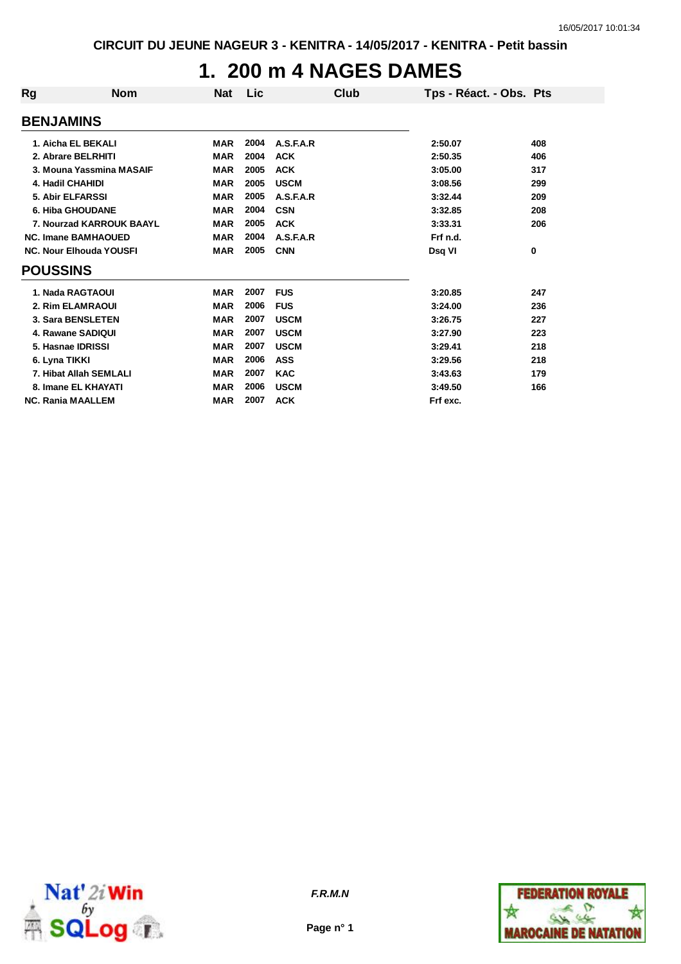### **1. 200 m 4 NAGES DAMES**

| <b>Rg</b>                  | <b>Nom</b>                     | <b>Nat</b> | Lic  | Club        | Tps - Réact. - Obs. Pts |     |
|----------------------------|--------------------------------|------------|------|-------------|-------------------------|-----|
| <b>BENJAMINS</b>           |                                |            |      |             |                         |     |
|                            | 1. Aicha EL BEKALI             | <b>MAR</b> | 2004 | A.S.F.A.R   | 2:50.07                 | 408 |
|                            | 2. Abrare BELRHITI             | <b>MAR</b> | 2004 | <b>ACK</b>  | 2:50.35                 | 406 |
|                            | 3. Mouna Yassmina MASAIF       | <b>MAR</b> | 2005 | <b>ACK</b>  | 3:05.00                 | 317 |
| 4. Hadil CHAHIDI           |                                | <b>MAR</b> | 2005 | <b>USCM</b> | 3:08.56                 | 299 |
| 5. Abir ELFARSSI           |                                | <b>MAR</b> | 2005 | A.S.F.A.R   | 3:32.44                 | 209 |
| <b>6. Hiba GHOUDANE</b>    |                                | <b>MAR</b> | 2004 | <b>CSN</b>  | 3:32.85                 | 208 |
| 7. Nourzad KARROUK BAAYL   |                                | <b>MAR</b> | 2005 | <b>ACK</b>  | 3:33.31                 | 206 |
| <b>NC. Imane BAMHAOUED</b> |                                | <b>MAR</b> | 2004 | A.S.F.A.R   | Frf n.d.                |     |
|                            | <b>NC. Nour Elhouda YOUSFI</b> | <b>MAR</b> | 2005 | <b>CNN</b>  | Dsq VI                  | 0   |
| <b>POUSSINS</b>            |                                |            |      |             |                         |     |
|                            | 1. Nada RAGTAOUI               | <b>MAR</b> | 2007 | <b>FUS</b>  | 3:20.85                 | 247 |
|                            | 2. Rim ELAMRAOUI               | <b>MAR</b> | 2006 | <b>FUS</b>  | 3:24.00                 | 236 |
|                            | 3. Sara BENSLETEN              | <b>MAR</b> | 2007 | <b>USCM</b> | 3:26.75                 | 227 |
|                            | 4. Rawane SADIQUI              | <b>MAR</b> | 2007 | <b>USCM</b> | 3:27.90                 | 223 |
|                            | 5. Hasnae IDRISSI              | <b>MAR</b> | 2007 | <b>USCM</b> | 3:29.41                 | 218 |
| 6. Lyna TIKKI              |                                | <b>MAR</b> | 2006 | <b>ASS</b>  | 3:29.56                 | 218 |
|                            | 7. Hibat Allah SEMLALI         | <b>MAR</b> | 2007 | <b>KAC</b>  | 3:43.63                 | 179 |
|                            | 8. Imane EL KHAYATI            | <b>MAR</b> | 2006 | <b>USCM</b> | 3:49.50                 | 166 |
|                            | <b>NC. Rania MAALLEM</b>       | <b>MAR</b> | 2007 | <b>ACK</b>  | Frf exc.                |     |





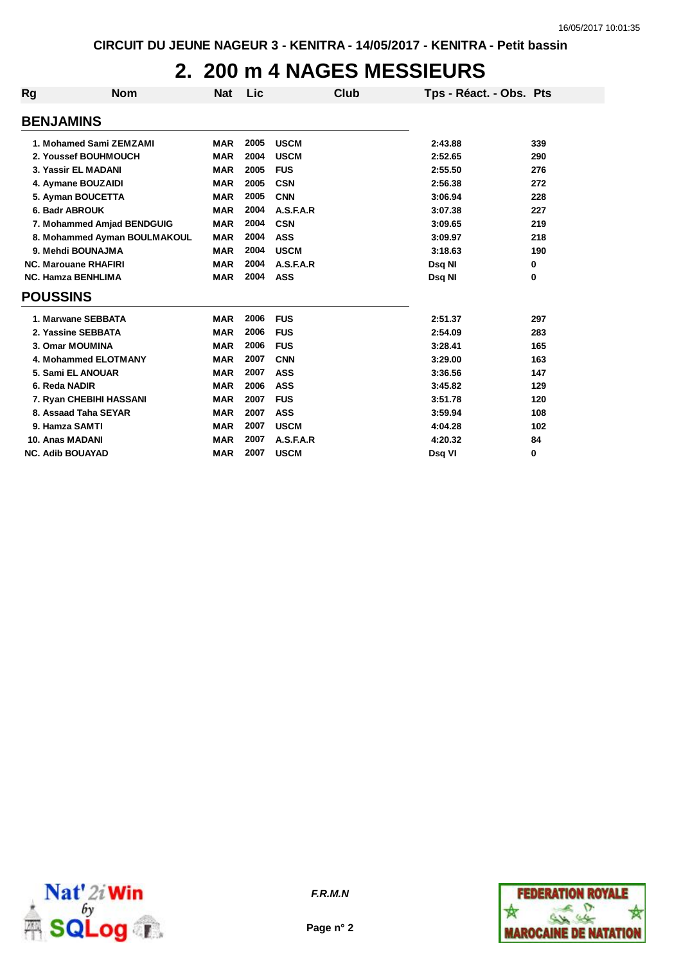## **2. 200 m 4 NAGES MESSIEURS**

| <b>Rg</b>               | <b>Nom</b>                   | Nat        | Lic  | <b>Club</b> | Tps - Réact. - Obs. Pts |     |
|-------------------------|------------------------------|------------|------|-------------|-------------------------|-----|
| <b>BENJAMINS</b>        |                              |            |      |             |                         |     |
|                         | 1. Mohamed Sami ZEMZAMI      | <b>MAR</b> | 2005 | <b>USCM</b> | 2:43.88                 | 339 |
|                         | 2. Youssef BOUHMOUCH         | <b>MAR</b> | 2004 | <b>USCM</b> | 2:52.65                 | 290 |
|                         | 3. Yassir EL MADANI          | <b>MAR</b> | 2005 | <b>FUS</b>  | 2:55.50                 | 276 |
|                         | 4. Aymane BOUZAIDI           | <b>MAR</b> | 2005 | <b>CSN</b>  | 2:56.38                 | 272 |
|                         | 5. Ayman BOUCETTA            | <b>MAR</b> | 2005 | <b>CNN</b>  | 3:06.94                 | 228 |
|                         | 6. Badr ABROUK               | <b>MAR</b> | 2004 | A.S.F.A.R   | 3:07.38                 | 227 |
|                         | 7. Mohammed Amjad BENDGUIG   | <b>MAR</b> | 2004 | <b>CSN</b>  | 3:09.65                 | 219 |
|                         | 8. Mohammed Ayman BOULMAKOUL | <b>MAR</b> | 2004 | <b>ASS</b>  | 3:09.97                 | 218 |
|                         | 9. Mehdi BOUNAJMA            | <b>MAR</b> | 2004 | <b>USCM</b> | 3:18.63                 | 190 |
|                         | <b>NC. Marouane RHAFIRI</b>  | <b>MAR</b> | 2004 | A.S.F.A.R   | Dsq NI                  | 0   |
|                         | <b>NC. Hamza BENHLIMA</b>    | <b>MAR</b> | 2004 | ASS         | Dsq NI                  | 0   |
| <b>POUSSINS</b>         |                              |            |      |             |                         |     |
|                         | 1. Marwane SEBBATA           | <b>MAR</b> | 2006 | <b>FUS</b>  | 2:51.37                 | 297 |
|                         | 2. Yassine SEBBATA           | <b>MAR</b> | 2006 | <b>FUS</b>  | 2:54.09                 | 283 |
|                         | 3. Omar MOUMINA              | <b>MAR</b> | 2006 | <b>FUS</b>  | 3:28.41                 | 165 |
|                         | 4. Mohammed ELOTMANY         | <b>MAR</b> | 2007 | <b>CNN</b>  | 3:29.00                 | 163 |
|                         | 5. Sami EL ANOUAR            | <b>MAR</b> | 2007 | <b>ASS</b>  | 3:36.56                 | 147 |
| 6. Reda NADIR           |                              | <b>MAR</b> | 2006 | <b>ASS</b>  | 3:45.82                 | 129 |
|                         | 7. Ryan CHEBIHI HASSANI      | <b>MAR</b> | 2007 | <b>FUS</b>  | 3:51.78                 | 120 |
|                         | 8. Assaad Taha SEYAR         | <b>MAR</b> | 2007 | <b>ASS</b>  | 3:59.94                 | 108 |
|                         | 9. Hamza SAMTI               | <b>MAR</b> | 2007 | <b>USCM</b> | 4:04.28                 | 102 |
| 10. Anas MADANI         |                              | <b>MAR</b> | 2007 | A.S.F.A.R   | 4:20.32                 | 84  |
| <b>NC. Adib BOUAYAD</b> |                              | <b>MAR</b> | 2007 | <b>USCM</b> | Dsq VI                  | 0   |





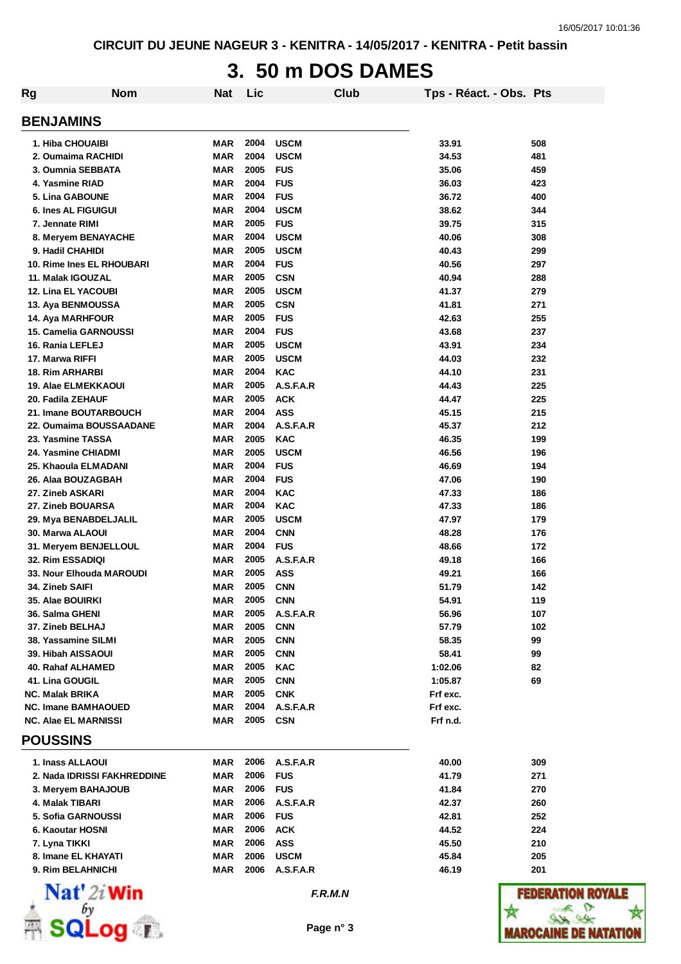# **3. 50 m DOS DAMES**

| <b>Rg</b>                                            | <b>Nom</b>   | <b>Nat</b>               | Lic          |                           | Club      | Tps - Réact. - Obs. Pts |            |
|------------------------------------------------------|--------------|--------------------------|--------------|---------------------------|-----------|-------------------------|------------|
| <b>BENJAMINS</b>                                     |              |                          |              |                           |           |                         |            |
| 1. Hiba CHOUAIBI                                     |              | MAR                      | 2004         | <b>USCM</b>               |           | 33.91                   | 508        |
| 2. Oumaima RACHIDI                                   |              | MAR                      | 2004         | <b>USCM</b>               |           | 34.53                   | 481        |
| 3. Oumnia SEBBATA                                    |              | <b>MAR</b>               | 2005         | <b>FUS</b>                |           | 35.06                   | 459        |
| 4. Yasmine RIAD                                      |              | <b>MAR</b>               | 2004         | <b>FUS</b>                |           | 36.03                   | 423        |
| <b>5. Lina GABOUNE</b>                               |              | <b>MAR</b>               | 2004         | <b>FUS</b>                |           | 36.72                   | 400        |
| 6. Ines AL FIGUIGUI                                  |              | <b>MAR</b>               | 2004         | <b>USCM</b>               |           | 38.62                   | 344        |
| 7. Jennate RIMI                                      |              | <b>MAR</b>               | 2005         | <b>FUS</b>                |           | 39.75                   | 315        |
| 8. Meryem BENAYACHE                                  |              | <b>MAR</b>               | 2004         | <b>USCM</b>               |           | 40.06                   | 308        |
| 9. Hadil CHAHIDI                                     |              | <b>MAR</b>               | 2005         | <b>USCM</b>               |           | 40.43                   | 299        |
| 10. Rime Ines EL RHOUBARI                            |              | <b>MAR</b>               | 2004         | <b>FUS</b>                |           | 40.56                   | 297        |
| 11. Malak IGOUZAL                                    |              | <b>MAR</b>               | 2005         | <b>CSN</b>                |           | 40.94                   | 288        |
| <b>12. Lina EL YACOUBI</b>                           |              | <b>MAR</b><br><b>MAR</b> | 2005<br>2005 | <b>USCM</b><br><b>CSN</b> |           | 41.37                   | 279        |
| 13. Aya BENMOUSSA<br>14. Aya MARHFOUR                |              | MAR                      | 2005         | <b>FUS</b>                |           | 41.81<br>42.63          | 271<br>255 |
| <b>15. Camelia GARNOUSSI</b>                         |              | MAR                      | 2004         | <b>FUS</b>                |           | 43.68                   | 237        |
| 16. Rania LEFLEJ                                     |              | <b>MAR</b>               | 2005         | <b>USCM</b>               |           | 43.91                   | 234        |
| 17. Marwa RIFFI                                      |              | <b>MAR</b>               | 2005         | <b>USCM</b>               |           | 44.03                   | 232        |
| <b>18. Rim ARHARBI</b>                               |              | <b>MAR</b>               | 2004         | <b>KAC</b>                |           | 44.10                   | 231        |
| <b>19. Alae ELMEKKAOUI</b>                           |              | <b>MAR</b>               | 2005         | A.S.F.A.R                 |           | 44.43                   | 225        |
| 20. Fadila ZEHAUF                                    |              | MAR                      | 2005         | <b>ACK</b>                |           | 44.47                   | 225        |
| 21. Imane BOUTARBOUCH                                |              | MAR                      | 2004         | ASS                       |           | 45.15                   | 215        |
| 22. Oumaima BOUSSAADANE                              |              | MAR                      | 2004         | A.S.F.A.R                 |           | 45.37                   | 212        |
| 23. Yasmine TASSA                                    |              | MAR                      | 2005         | <b>KAC</b>                |           | 46.35                   | 199        |
| 24. Yasmine CHIADMI                                  |              | <b>MAR</b>               | 2005         | <b>USCM</b>               |           | 46.56                   | 196        |
| 25. Khaoula ELMADANI                                 |              | <b>MAR</b>               | 2004         | <b>FUS</b>                |           | 46.69                   | 194        |
| 26. Alaa BOUZAGBAH                                   |              | <b>MAR</b>               | 2004         | <b>FUS</b>                |           | 47.06                   | 190        |
| 27. Zineb ASKARI                                     |              | MAR                      | 2004         | <b>KAC</b>                |           | 47.33                   | 186        |
| 27. Zineb BOUARSA                                    |              | <b>MAR</b>               | 2004         | <b>KAC</b>                |           | 47.33                   | 186        |
| 29. Mya BENABDELJALIL                                |              | <b>MAR</b>               | 2005         | <b>USCM</b>               |           | 47.97                   | 179        |
| 30. Marwa ALAOUI                                     |              | MAR                      | 2004         | <b>CNN</b>                |           | 48.28                   | 176        |
| 31. Meryem BENJELLOUL                                |              | MAR                      | 2004         | <b>FUS</b>                |           | 48.66                   | 172        |
| 32. Rim ESSADIQI                                     |              | MAR                      | 2005         | A.S.F.A.R                 |           | 49.18                   | 166        |
| 33. Nour Elhouda MAROUDI                             |              | MAR                      | 2005         | ASS                       |           | 49.21                   | 166        |
| 34. Zineb SAIFI                                      |              | <b>MAR</b>               | 2005         | <b>CNN</b>                |           | 51.79                   | 142        |
| 35. Alae BOUIRKI                                     |              | MAR                      | 2005         | <b>CNN</b>                |           | 54.91                   | 119        |
| 36. Salma GHENI                                      |              | MAR                      | 2005         | A.S.F.A.R                 |           | 56.96                   | 107        |
| 37. Zineb BELHAJ                                     |              | MAR                      | 2005         | <b>CNN</b>                |           | 57.79                   | 102        |
| 38. Yassamine SILMI                                  |              | MAR                      | 2005         | <b>CNN</b>                |           | 58.35                   | 99         |
| 39. Hibah AISSAOUI                                   |              | MAR                      | 2005         | <b>CNN</b>                |           | 58.41                   | 99         |
| 40. Rahaf ALHAMED                                    |              | MAR                      | 2005         | <b>KAC</b>                |           | 1:02.06                 | 82         |
| 41. Lina GOUGIL                                      |              | MAR                      | 2005         | <b>CNN</b>                |           | 1:05.87                 | 69         |
| <b>NC. Malak BRIKA</b><br><b>NC. Imane BAMHAOUED</b> |              | MAR                      | 2005<br>2004 | <b>CNK</b><br>A.S.F.A.R   |           | Frf exc.                |            |
| <b>NC. Alae EL MARNISSI</b>                          |              | MAR<br>MAR               | 2005         | <b>CSN</b>                |           | Frf exc.<br>Frf n.d.    |            |
| <b>POUSSINS</b>                                      |              |                          |              |                           |           |                         |            |
| 1. Inass ALLAOUI                                     |              | MAR                      | 2006         | A.S.F.A.R                 |           | 40.00                   | 309        |
| 2. Nada IDRISSI FAKHREDDINE                          |              | MAR                      | 2006         | <b>FUS</b>                |           | 41.79                   | 271        |
| 3. Meryem BAHAJOUB                                   |              | MAR                      | 2006         | <b>FUS</b>                |           | 41.84                   | 270        |
| 4. Malak TIBARI                                      |              | MAR                      | 2006         | A.S.F.A.R                 |           | 42.37                   | 260        |
| 5. Sofia GARNOUSSI                                   |              | MAR                      | 2006         | <b>FUS</b>                |           | 42.81                   | 252        |
| 6. Kaoutar HOSNI                                     |              | MAR                      | 2006         | <b>ACK</b>                |           | 44.52                   | 224        |
| 7. Lyna TIKKI                                        |              | MAR                      | 2006         | <b>ASS</b>                |           | 45.50                   | 210        |
| 8. Imane EL KHAYATI                                  |              | MAR                      | 2006         | <b>USCM</b>               |           | 45.84                   | 205        |
| 9. Rim BELAHNICHI                                    |              | MAR                      | 2006         | A.S.F.A.R                 |           | 46.19                   | 201        |
| Nat' 2i Win                                          |              |                          |              |                           | F.R.M.N   |                         | FEDE!      |
|                                                      | <b>OCITY</b> |                          |              |                           | Page n° 3 |                         | MAROCAI    |

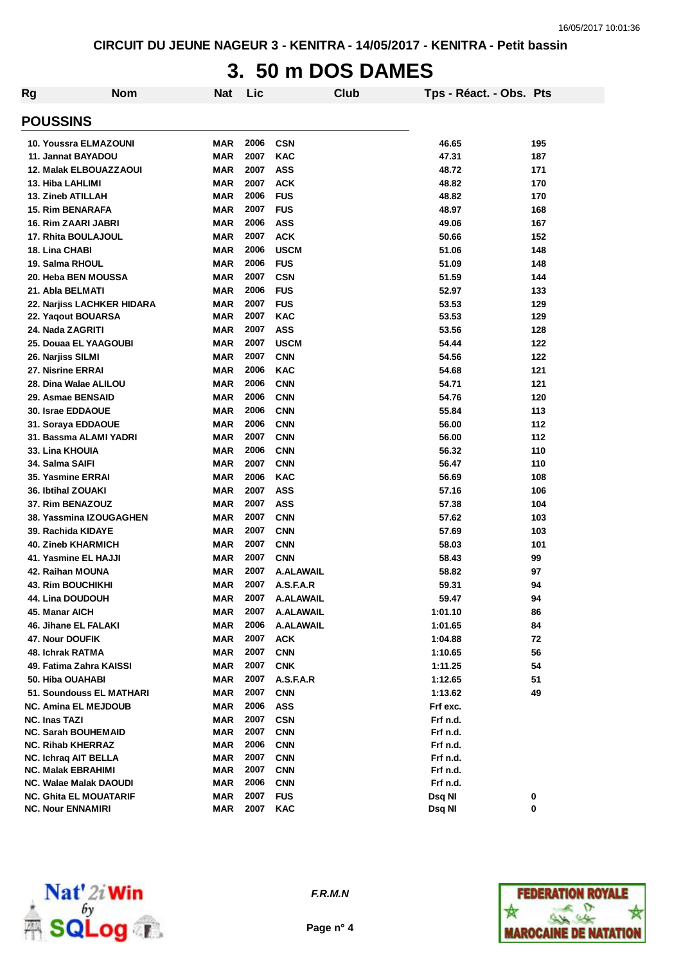# **3. 50 m DOS DAMES**

| <b>Rg</b> | <b>Nom</b>                    | <b>Nat</b> | Lic  | Club        | Tps - Réact. - Obs. Pts |     |
|-----------|-------------------------------|------------|------|-------------|-------------------------|-----|
|           | <b>POUSSINS</b>               |            |      |             |                         |     |
|           | 10. Youssra ELMAZOUNI         | MAR        | 2006 | <b>CSN</b>  | 46.65                   | 195 |
|           | 11. Jannat BAYADOU            | <b>MAR</b> | 2007 | <b>KAC</b>  | 47.31                   | 187 |
|           | <b>12. Malak ELBOUAZZAOUI</b> | MAR        | 2007 | ASS         | 48.72                   | 171 |
|           | 13. Hiba LAHLIMI              | <b>MAR</b> | 2007 | <b>ACK</b>  | 48.82                   | 170 |
|           | 13. Zineb ATILLAH             | MAR        | 2006 | <b>FUS</b>  | 48.82                   | 170 |
|           | <b>15. Rim BENARAFA</b>       | MAR        | 2007 | <b>FUS</b>  | 48.97                   | 168 |
|           | 16. Rim ZAARI JABRI           | MAR        | 2006 | ASS         | 49.06                   | 167 |
|           | 17. Rhita BOULAJOUL           | MAR        | 2007 | <b>ACK</b>  | 50.66                   | 152 |
|           | 18. Lina CHABI                | MAR        | 2006 | <b>USCM</b> | 51.06                   | 148 |
|           | 19. Salma RHOUL               | MAR        | 2006 | <b>FUS</b>  | 51.09                   | 148 |
|           | 20. Heba BEN MOUSSA           | MAR        | 2007 | <b>CSN</b>  | 51.59                   | 144 |
|           | 21. Abla BELMATI              | MAR        | 2006 | <b>FUS</b>  | 52.97                   | 133 |
|           | 22. Narjiss LACHKER HIDARA    | MAR        | 2007 | <b>FUS</b>  | 53.53                   | 129 |
|           | 22. Yaqout BOUARSA            | MAR        | 2007 | KAC         | 53.53                   | 129 |
|           | 24. Nada ZAGRITI              | <b>MAR</b> | 2007 | ASS         | 53.56                   | 128 |
|           | 25. Douaa EL YAAGOUBI         | MAR        | 2007 | <b>USCM</b> | 54.44                   | 122 |
|           | 26. Narjiss SILMI             | MAR        | 2007 | <b>CNN</b>  | 54.56                   | 122 |
|           | 27. Nisrine ERRAI             | <b>MAR</b> | 2006 | <b>KAC</b>  | 54.68                   | 121 |
|           | 28. Dina Walae ALILOU         | MAR        | 2006 | <b>CNN</b>  | 54.71                   | 121 |
|           | 29. Asmae BENSAID             | MAR        | 2006 | <b>CNN</b>  | 54.76                   | 120 |
|           | 30. Israe EDDAOUE             | <b>MAR</b> | 2006 | <b>CNN</b>  | 55.84                   | 113 |
|           | 31. Soraya EDDAOUE            | <b>MAR</b> | 2006 | <b>CNN</b>  | 56.00                   | 112 |
|           | 31. Bassma ALAMI YADRI        | MAR        | 2007 | <b>CNN</b>  | 56.00                   | 112 |
|           | 33. Lina KHOUIA               | MAR        | 2006 | <b>CNN</b>  | 56.32                   | 110 |
|           | 34. Salma SAIFI               | MAR        | 2007 | <b>CNN</b>  | 56.47                   | 110 |
|           | 35. Yasmine ERRAI             | MAR        | 2006 | <b>KAC</b>  | 56.69                   | 108 |
|           | 36. Ibtihal ZOUAKI            | MAR        | 2007 | ASS         | 57.16                   | 106 |
|           | 37. Rim BENAZOUZ              | MAR        | 2007 | ASS         | 57.38                   | 104 |
|           | 38. Yassmina IZOUGAGHEN       | MAR        | 2007 | <b>CNN</b>  | 57.62                   | 103 |
|           | 39. Rachida KIDAYE            | MAR        | 2007 | <b>CNN</b>  | 57.69                   | 103 |
|           | <b>40. Zineb KHARMICH</b>     | MAR        | 2007 | <b>CNN</b>  | 58.03                   | 101 |
|           | 41. Yasmine EL HAJJI          | <b>MAR</b> | 2007 | <b>CNN</b>  | 58.43                   | 99  |
|           | 42. Raihan MOUNA              | MAR        | 2007 | A.ALAWAIL   | 58.82                   | 97  |
|           | <b>43. Rim BOUCHIKHI</b>      | MAR        | 2007 | A.S.F.A.R   | 59.31                   | 94  |
|           | 44. Lina DOUDOUH              | <b>MAR</b> | 2007 | A.ALAWAIL   | 59.47                   | 94  |
|           | 45. Manar AICH                | MAR        | 2007 | A.ALAWAIL   | 1:01.10                 | 86  |
|           | 46. Jihane EL FALAKI          | MAR        | 2006 | A.ALAWAIL   | 1:01.65                 | 84  |
|           | 47. Nour DOUFIK               | MAR        | 2007 | <b>ACK</b>  | 1:04.88                 | 72  |
|           | 48. Ichrak RATMA              | <b>MAR</b> | 2007 | <b>CNN</b>  | 1:10.65                 | 56  |
|           | 49. Fatima Zahra KAISSI       | MAR        | 2007 | <b>CNK</b>  | 1:11.25                 | 54  |
|           | 50. Hiba OUAHABI              | MAR        | 2007 | A.S.F.A.R   | 1:12.65                 | 51  |
|           | 51. Soundouss EL MATHARI      | MAR        | 2007 | <b>CNN</b>  | 1:13.62                 | 49  |
|           | NC. Amina EL MEJDOUB          | MAR        | 2006 | ASS         | Frf exc.                |     |
|           | <b>NC. Inas TAZI</b>          | MAR        | 2007 | <b>CSN</b>  | Frf n.d.                |     |
|           | <b>NC. Sarah BOUHEMAID</b>    | MAR        | 2007 | <b>CNN</b>  | Frf n.d.                |     |
|           | <b>NC. Rihab KHERRAZ</b>      | MAR        | 2006 | <b>CNN</b>  | Frf n.d.                |     |
|           | NC. Ichraq AIT BELLA          | MAR        | 2007 | <b>CNN</b>  | Frf n.d.                |     |
|           | <b>NC. Malak EBRAHIMI</b>     | MAR        | 2007 | <b>CNN</b>  | Frf n.d.                |     |
|           | NC. Walae Malak DAOUDI        | MAR        | 2006 | <b>CNN</b>  | Frf n.d.                |     |
|           | <b>NC. Ghita EL MOUATARIF</b> | MAR        | 2007 | <b>FUS</b>  | Dsq NI                  | 0   |
|           | <b>NC. Nour ENNAMIRI</b>      | MAR        | 2007 | KAC         | Dsq NI                  | 0   |



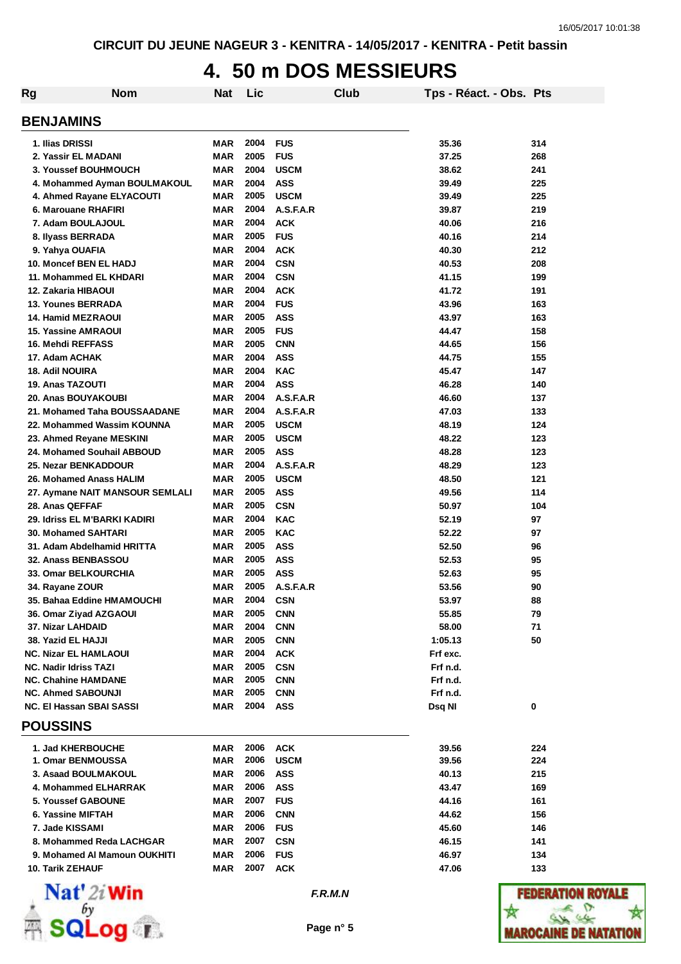#### **4. 50 m DOS MESSIEURS**

| <b>Rg</b>                                   | <b>Nom</b>                      | <b>Nat</b> | Lic          |             | Club | Tps - Réact. - Obs. Pts |     |
|---------------------------------------------|---------------------------------|------------|--------------|-------------|------|-------------------------|-----|
| <b>BENJAMINS</b>                            |                                 |            |              |             |      |                         |     |
| 1. Ilias DRISSI                             |                                 | MAR        | 2004         | <b>FUS</b>  |      | 35.36                   | 314 |
| 2. Yassir EL MADANI                         |                                 | <b>MAR</b> | 2005         | <b>FUS</b>  |      | 37.25                   | 268 |
| 3. Youssef BOUHMOUCH                        |                                 | MAR        | 2004         | <b>USCM</b> |      | 38.62                   | 241 |
|                                             | 4. Mohammed Ayman BOULMAKOUL    | <b>MAR</b> | 2004         | <b>ASS</b>  |      | 39.49                   | 225 |
| 4. Ahmed Rayane ELYACOUTI                   |                                 | <b>MAR</b> | 2005         | <b>USCM</b> |      | 39.49                   | 225 |
| 6. Marouane RHAFIRI                         |                                 | MAR        | 2004         | A.S.F.A.R   |      | 39.87                   | 219 |
| 7. Adam BOULAJOUL                           |                                 | MAR        | 2004         | <b>ACK</b>  |      | 40.06                   | 216 |
| 8. Ilyass BERRADA                           |                                 | <b>MAR</b> | 2005         | <b>FUS</b>  |      | 40.16                   | 214 |
| 9. Yahya OUAFIA                             |                                 | <b>MAR</b> | 2004         | <b>ACK</b>  |      | 40.30                   | 212 |
| 10. Moncef BEN EL HADJ                      |                                 | <b>MAR</b> | 2004         | <b>CSN</b>  |      | 40.53                   | 208 |
| 11. Mohammed EL KHDARI                      |                                 | <b>MAR</b> | 2004         | <b>CSN</b>  |      | 41.15                   | 199 |
| 12. Zakaria HIBAOUI                         |                                 | <b>MAR</b> | 2004         | <b>ACK</b>  |      | 41.72                   | 191 |
| <b>13. Younes BERRADA</b>                   |                                 | <b>MAR</b> | 2004         | <b>FUS</b>  |      | 43.96                   | 163 |
| <b>14. Hamid MEZRAOUI</b>                   |                                 | <b>MAR</b> | 2005         | <b>ASS</b>  |      | 43.97                   | 163 |
| <b>15. Yassine AMRAOUI</b>                  |                                 | <b>MAR</b> | 2005         | <b>FUS</b>  |      | 44.47                   | 158 |
| 16. Mehdi REFFASS                           |                                 | <b>MAR</b> | 2005         | <b>CNN</b>  |      | 44.65                   | 156 |
| 17. Adam ACHAK                              |                                 | <b>MAR</b> | 2004         | <b>ASS</b>  |      | 44.75                   | 155 |
| <b>18. Adil NOUIRA</b>                      |                                 | <b>MAR</b> | 2004         | <b>KAC</b>  |      | 45.47                   | 147 |
| <b>19. Anas TAZOUTI</b>                     |                                 | <b>MAR</b> | 2004         | <b>ASS</b>  |      | 46.28                   | 140 |
| 20. Anas BOUYAKOUBI                         |                                 | <b>MAR</b> | 2004         | A.S.F.A.R   |      | 46.60                   | 137 |
|                                             | 21. Mohamed Taha BOUSSAADANE    | <b>MAR</b> | 2004         | A.S.F.A.R   |      | 47.03                   | 133 |
|                                             | 22. Mohammed Wassim KOUNNA      | <b>MAR</b> | 2005         | <b>USCM</b> |      | 48.19                   | 124 |
| 23. Ahmed Reyane MESKINI                    |                                 | <b>MAR</b> | 2005         | <b>USCM</b> |      | 48.22                   | 123 |
| 24. Mohamed Souhail ABBOUD                  |                                 | <b>MAR</b> | 2005         | <b>ASS</b>  |      | 48.28                   | 123 |
| 25. Nezar BENKADDOUR                        |                                 | MAR        | 2004         | A.S.F.A.R   |      | 48.29                   | 123 |
| 26. Mohamed Anass HALIM                     |                                 | MAR        | 2005         | <b>USCM</b> |      | 48.50                   | 121 |
|                                             | 27. Aymane NAIT MANSOUR SEMLALI | MAR        | 2005         | <b>ASS</b>  |      | 49.56                   | 114 |
| 28. Anas QEFFAF                             |                                 | <b>MAR</b> | 2005         | <b>CSN</b>  |      | 50.97                   | 104 |
| 29. Idriss EL M'BARKI KADIRI                |                                 | <b>MAR</b> | 2004         | <b>KAC</b>  |      | 52.19                   | 97  |
| <b>30. Mohamed SAHTARI</b>                  |                                 | MAR        | 2005         | <b>KAC</b>  |      | 52.22                   | 97  |
| 31. Adam Abdelhamid HRITTA                  |                                 | MAR        | 2005         | <b>ASS</b>  |      | 52.50                   | 96  |
| 32. Anass BENBASSOU                         |                                 | <b>MAR</b> | 2005         | <b>ASS</b>  |      | 52.53                   | 95  |
| <b>33. Omar BELKOURCHIA</b>                 |                                 | MAR        | 2005         | <b>ASS</b>  |      | 52.63                   | 95  |
| 34. Rayane ZOUR                             |                                 | <b>MAR</b> | 2005         | A.S.F.A.R   |      | 53.56                   | 90  |
| 35. Bahaa Eddine HMAMOUCHI                  |                                 | MAR        | 2004         | <b>CSN</b>  |      | 53.97                   | 88  |
| 36. Omar Ziyad AZGAOUI                      |                                 | MAR        | 2005         | <b>CNN</b>  |      | 55.85                   | 79  |
| 37. Nizar LAHDAID                           |                                 | MAR        | 2004         | <b>CNN</b>  |      | 58.00                   | 71  |
| 38. Yazid EL HAJJI                          |                                 | MAR        | 2005         | <b>CNN</b>  |      | 1:05.13                 | 50  |
| <b>NC. Nizar EL HAMLAOUI</b>                |                                 | MAR        | 2004         | <b>ACK</b>  |      | Frf exc.                |     |
| <b>NC. Nadir Idriss TAZI</b>                |                                 | MAR        | 2005         | <b>CSN</b>  |      | Frf n.d.                |     |
| <b>NC. Chahine HAMDANE</b>                  |                                 | MAR        | 2005         | <b>CNN</b>  |      | Frf n.d.                |     |
| <b>NC. Ahmed SABOUNJI</b>                   |                                 | MAR        | 2005<br>2004 | <b>CNN</b>  |      | Frf n.d.                |     |
| NC. El Hassan SBAI SASSI<br><b>POUSSINS</b> |                                 | MAR        |              | ASS         |      | Dsq NI                  | 0   |
|                                             |                                 |            |              |             |      |                         |     |
| 1. Jad KHERBOUCHE                           |                                 | MAR        | 2006         | <b>ACK</b>  |      | 39.56                   | 224 |
| 1. Omar BENMOUSSA                           |                                 | MAR        | 2006         | <b>USCM</b> |      | 39.56                   | 224 |
| 3. Asaad BOULMAKOUL                         |                                 | MAR        | 2006         | ASS         |      | 40.13                   | 215 |
| 4. Mohammed ELHARRAK                        |                                 | MAR        | 2006         | ASS         |      | 43.47                   | 169 |
| <b>5. Youssef GABOUNE</b>                   |                                 | MAR        | 2007         | <b>FUS</b>  |      | 44.16                   | 161 |
| 6. Yassine MIFTAH                           |                                 | MAR        | 2006         | <b>CNN</b>  |      | 44.62                   | 156 |
| 7. Jade KISSAMI                             |                                 | MAR        | 2006         | <b>FUS</b>  |      | 45.60                   | 146 |
|                                             | 8. Mohammed Reda LACHGAR        | MAR        | 2007         | <b>CSN</b>  |      | 46.15                   | 141 |
|                                             | 9. Mohamed AI Mamoun OUKHITI    | MAR        | 2006         | <b>FUS</b>  |      | 46.97                   | 134 |
| <b>10. Tarik ZEHAUF</b>                     |                                 | MAR        | 2007         | <b>ACK</b>  |      | 47.06                   | 133 |
| <b>BY</b>                                   |                                 |            |              |             |      |                         |     |



*F.R.M.N*

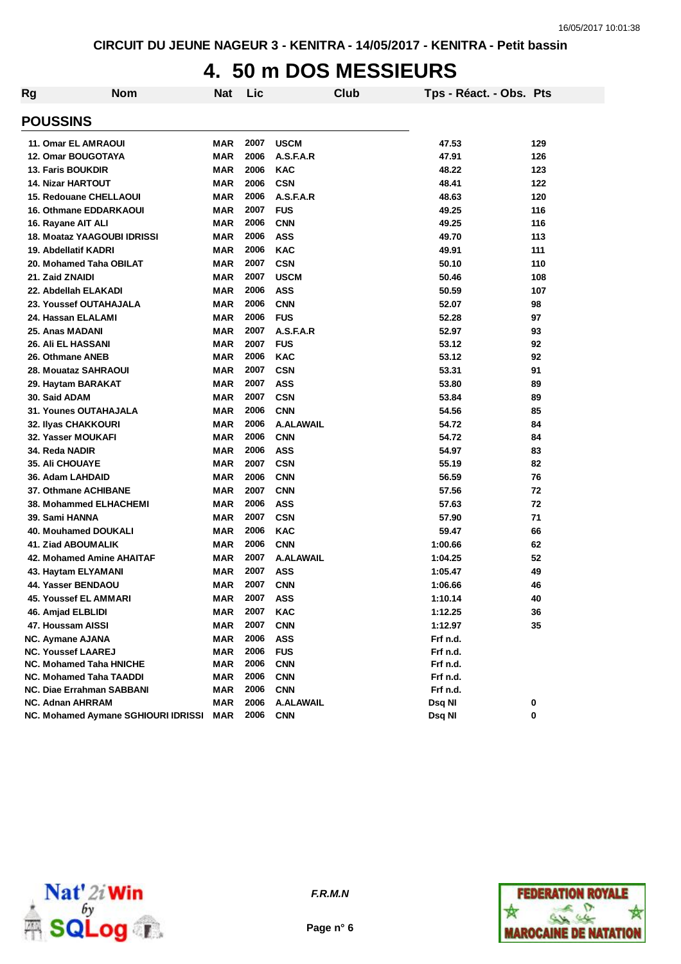#### **4. 50 m DOS MESSIEURS**

| Rg | <b>Nom</b>                          | <b>Nat</b> | Lic  | Club             | Tps - Réact. - Obs. Pts |     |
|----|-------------------------------------|------------|------|------------------|-------------------------|-----|
|    | <b>POUSSINS</b>                     |            |      |                  |                         |     |
|    | 11. Omar EL AMRAOUI                 | <b>MAR</b> | 2007 | <b>USCM</b>      | 47.53                   | 129 |
|    | 12. Omar BOUGOTAYA                  | <b>MAR</b> | 2006 | A.S.F.A.R        | 47.91                   | 126 |
|    | 13. Faris BOUKDIR                   | <b>MAR</b> | 2006 | <b>KAC</b>       | 48.22                   | 123 |
|    | <b>14. Nizar HARTOUT</b>            | <b>MAR</b> | 2006 | <b>CSN</b>       | 48.41                   | 122 |
|    | 15. Redouane CHELLAOUI              | <b>MAR</b> | 2006 | A.S.F.A.R        | 48.63                   | 120 |
|    | <b>16. Othmane EDDARKAOUI</b>       | <b>MAR</b> | 2007 | <b>FUS</b>       | 49.25                   | 116 |
|    | 16. Rayane AIT ALI                  | <b>MAR</b> | 2006 | <b>CNN</b>       | 49.25                   | 116 |
|    | <b>18. Moataz YAAGOUBI IDRISSI</b>  | <b>MAR</b> | 2006 | <b>ASS</b>       | 49.70                   | 113 |
|    | 19. Abdellatif KADRI                | MAR        | 2006 | <b>KAC</b>       | 49.91                   | 111 |
|    | 20. Mohamed Taha OBILAT             | MAR        | 2007 | <b>CSN</b>       | 50.10                   | 110 |
|    | 21. Zaid ZNAIDI                     | <b>MAR</b> | 2007 | <b>USCM</b>      | 50.46                   | 108 |
|    | 22. Abdellah ELAKADI                | <b>MAR</b> | 2006 | <b>ASS</b>       | 50.59                   | 107 |
|    | 23. Youssef OUTAHAJALA              | <b>MAR</b> | 2006 | <b>CNN</b>       | 52.07                   | 98  |
|    | 24. Hassan ELALAMI                  | <b>MAR</b> | 2006 | <b>FUS</b>       | 52.28                   | 97  |
|    | 25. Anas MADANI                     | <b>MAR</b> | 2007 | A.S.F.A.R        | 52.97                   | 93  |
|    | <b>26. Ali EL HASSANI</b>           | MAR        | 2007 | <b>FUS</b>       | 53.12                   | 92  |
|    | 26. Othmane ANEB                    | <b>MAR</b> | 2006 | <b>KAC</b>       | 53.12                   | 92  |
|    | 28. Mouataz SAHRAOUI                | MAR        | 2007 | <b>CSN</b>       | 53.31                   | 91  |
|    | 29. Haytam BARAKAT                  | MAR        | 2007 | <b>ASS</b>       | 53.80                   | 89  |
|    | 30. Said ADAM                       | MAR        | 2007 | <b>CSN</b>       | 53.84                   | 89  |
|    | <b>31. Younes OUTAHAJALA</b>        | <b>MAR</b> | 2006 | <b>CNN</b>       | 54.56                   | 85  |
|    | 32. Ilyas CHAKKOURI                 | <b>MAR</b> | 2006 | <b>A.ALAWAIL</b> | 54.72                   | 84  |
|    | 32. Yasser MOUKAFI                  | MAR        | 2006 | <b>CNN</b>       | 54.72                   | 84  |
|    | 34. Reda NADIR                      | MAR        | 2006 | <b>ASS</b>       | 54.97                   | 83  |
|    | <b>35. Ali CHOUAYE</b>              | <b>MAR</b> | 2007 | <b>CSN</b>       | 55.19                   | 82  |
|    | 36. Adam LAHDAID                    | <b>MAR</b> | 2006 | <b>CNN</b>       | 56.59                   | 76  |
|    | 37. Othmane ACHIBANE                | <b>MAR</b> | 2007 | <b>CNN</b>       | 57.56                   | 72  |
|    | <b>38. Mohammed ELHACHEMI</b>       | <b>MAR</b> | 2006 | <b>ASS</b>       | 57.63                   | 72  |
|    | 39. Sami HANNA                      | MAR        | 2007 | <b>CSN</b>       | 57.90                   | 71  |
|    | 40. Mouhamed DOUKALI                | <b>MAR</b> | 2006 | <b>KAC</b>       | 59.47                   | 66  |
|    | <b>41. Ziad ABOUMALIK</b>           | <b>MAR</b> | 2006 | <b>CNN</b>       | 1:00.66                 | 62  |
|    | <b>42. Mohamed Amine AHAITAF</b>    | <b>MAR</b> | 2007 | <b>A.ALAWAIL</b> | 1:04.25                 | 52  |
|    | 43. Haytam ELYAMANI                 | <b>MAR</b> | 2007 | ASS              | 1:05.47                 | 49  |
|    | 44. Yasser BENDAOU                  | MAR        | 2007 | <b>CNN</b>       | 1:06.66                 | 46  |
|    | 45. Youssef EL AMMARI               | MAR        | 2007 | <b>ASS</b>       | 1:10.14                 | 40  |
|    | 46. Amjad ELBLIDI                   | MAR        | 2007 | <b>KAC</b>       | 1:12.25                 | 36  |
|    | 47. Houssam AISSI                   | MAR        | 2007 | <b>CNN</b>       | 1:12.97                 | 35  |
|    | NC. Aymane AJANA                    | MAR        | 2006 | <b>ASS</b>       | Frf n.d.                |     |
|    | <b>NC. Youssef LAAREJ</b>           | MAR        | 2006 | <b>FUS</b>       | Frf n.d.                |     |
|    | <b>NC. Mohamed Taha HNICHE</b>      | MAR        | 2006 | <b>CNN</b>       | Frf n.d.                |     |
|    | <b>NC. Mohamed Taha TAADDI</b>      | MAR        | 2006 | <b>CNN</b>       | Frf n.d.                |     |
|    | <b>NC. Diae Errahman SABBANI</b>    | MAR        | 2006 | <b>CNN</b>       | Frf n.d.                |     |
|    | <b>NC. Adnan AHRRAM</b>             | MAR        | 2006 | <b>A.ALAWAIL</b> | Dsq NI                  | 0   |
|    | NC. Mohamed Aymane SGHIOURI IDRISSI | MAR        | 2006 | <b>CNN</b>       | Dsq NI                  | 0   |



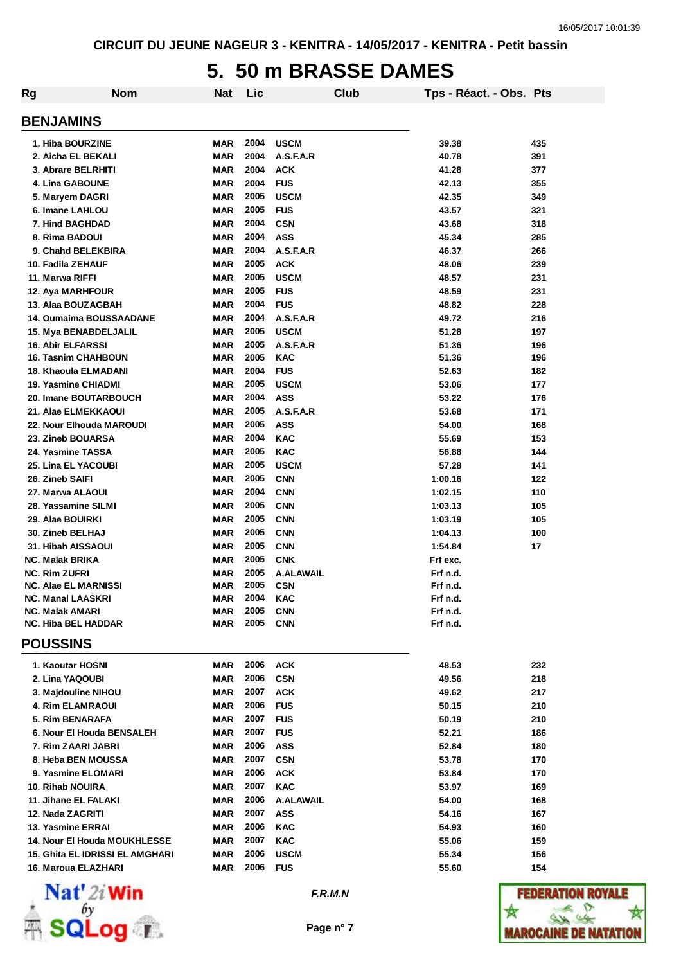#### **5. 50 m BRASSE DAMES**

| Rg | <b>Nom</b>                              | Nat               | Lic          | Club                     | Tps - Réact. - Obs. Pts |            |
|----|-----------------------------------------|-------------------|--------------|--------------------------|-------------------------|------------|
|    | <b>BENJAMINS</b>                        |                   |              |                          |                         |            |
|    | 1. Hiba BOURZINE                        | MAR               | 2004         | <b>USCM</b>              | 39.38                   | 435        |
|    | 2. Aicha EL BEKALI                      | MAR               | 2004         | A.S.F.A.R                | 40.78                   | 391        |
|    | 3. Abrare BELRHITI                      | MAR               | 2004         | <b>ACK</b>               | 41.28                   | 377        |
|    | 4. Lina GABOUNE                         | MAR               | 2004         | <b>FUS</b>               | 42.13                   | 355        |
|    | 5. Maryem DAGRI                         | MAR               | 2005         | <b>USCM</b>              | 42.35                   | 349        |
|    | 6. Imane LAHLOU                         | <b>MAR</b>        | 2005         | <b>FUS</b>               | 43.57                   | 321        |
|    | 7. Hind BAGHDAD                         | MAR               | 2004         | <b>CSN</b>               | 43.68                   | 318        |
|    | 8. Rima BADOUI                          | MAR               | 2004         | <b>ASS</b>               | 45.34                   | 285        |
|    | 9. Chahd BELEKBIRA                      | MAR               | 2004         | A.S.F.A.R                | 46.37                   | 266        |
|    | 10. Fadila ZEHAUF                       | MAR               | 2005         | <b>ACK</b>               | 48.06                   | 239        |
|    | 11. Marwa RIFFI                         | <b>MAR</b>        | 2005         | <b>USCM</b>              | 48.57                   | 231        |
|    | 12. Aya MARHFOUR                        | <b>MAR</b>        | 2005         | <b>FUS</b>               | 48.59                   | 231        |
|    | 13. Alaa BOUZAGBAH                      | <b>MAR</b>        | 2004         | <b>FUS</b>               | 48.82                   | 228        |
|    | 14. Oumaima BOUSSAADANE                 | <b>MAR</b>        | 2004         | A.S.F.A.R                | 49.72                   | 216        |
|    | 15. Mya BENABDELJALIL                   | <b>MAR</b>        | 2005         | <b>USCM</b>              | 51.28                   | 197        |
|    | 16. Abir ELFARSSI                       | <b>MAR</b>        | 2005         | A.S.F.A.R                | 51.36                   | 196        |
|    | <b>16. Tasnim CHAHBOUN</b>              | MAR               | 2005         | <b>KAC</b>               | 51.36                   | 196        |
|    | 18. Khaoula ELMADANI                    | MAR               | 2004         | <b>FUS</b>               | 52.63                   | 182        |
|    | 19. Yasmine CHIADMI                     | MAR               | 2005         | <b>USCM</b>              | 53.06                   | 177        |
|    | 20. Imane BOUTARBOUCH                   | MAR               | 2004         | <b>ASS</b>               | 53.22                   | 176        |
|    | 21. Alae ELMEKKAOUI                     | <b>MAR</b>        | 2005         | A.S.F.A.R                | 53.68                   | 171        |
|    | 22. Nour Elhouda MAROUDI                | <b>MAR</b>        | 2005         | <b>ASS</b>               | 54.00                   | 168        |
|    | 23. Zineb BOUARSA                       | <b>MAR</b>        | 2004         | <b>KAC</b>               | 55.69                   | 153        |
|    | 24. Yasmine TASSA                       | <b>MAR</b>        | 2005         | <b>KAC</b>               | 56.88                   | 144        |
|    | 25. Lina EL YACOUBI                     | MAR               | 2005<br>2005 | <b>USCM</b>              | 57.28                   | 141        |
|    | 26. Zineb SAIFI                         | MAR<br><b>MAR</b> | 2004         | <b>CNN</b><br><b>CNN</b> | 1:00.16                 | 122<br>110 |
|    | 27. Marwa ALAOUI<br>28. Yassamine SILMI | <b>MAR</b>        | 2005         | <b>CNN</b>               | 1:02.15<br>1:03.13      | 105        |
|    | 29. Alae BOUIRKI                        | <b>MAR</b>        | 2005         | <b>CNN</b>               | 1:03.19                 | 105        |
|    | 30. Zineb BELHAJ                        | MAR               | 2005         | <b>CNN</b>               | 1:04.13                 | 100        |
|    | 31. Hibah AISSAOUI                      | MAR               | 2005         | <b>CNN</b>               | 1:54.84                 | 17         |
|    | <b>NC. Malak BRIKA</b>                  | MAR               | 2005         | <b>CNK</b>               | Frf exc.                |            |
|    | <b>NC. Rim ZUFRI</b>                    | MAR               | 2005         | <b>A.ALAWAIL</b>         | Frf n.d.                |            |
|    | <b>NC. Alae EL MARNISSI</b>             | <b>MAR</b>        | 2005         | <b>CSN</b>               | Frf n.d.                |            |
|    | <b>NC. Manal LAASKRI</b>                | <b>MAR</b>        | 2004         | KAC                      | Frf n.d.                |            |
|    | <b>NC. Malak AMARI</b>                  | <b>MAR</b>        | 2005         | <b>CNN</b>               | Frf n.d.                |            |
|    | <b>NC. Hiba BEL HADDAR</b>              | MAR               | 2005         | <b>CNN</b>               | Frf n.d.                |            |
|    | <b>POUSSINS</b>                         |                   |              |                          |                         |            |
|    | 1. Kaoutar HOSNI                        | <b>MAR</b>        | 2006         | <b>ACK</b>               | 48.53                   | 232        |
|    | 2. Lina YAQOUBI                         | <b>MAR</b>        | 2006         | <b>CSN</b>               | 49.56                   | 218        |
|    | 3. Majdouline NIHOU                     | MAR               | 2007         | <b>ACK</b>               | 49.62                   | 217        |
|    | <b>4. Rim ELAMRAOUI</b>                 | <b>MAR</b>        | 2006         | <b>FUS</b>               | 50.15                   | 210        |
|    | 5. Rim BENARAFA                         | MAR               | 2007         | <b>FUS</b>               | 50.19                   | 210        |
|    | 6. Nour El Houda BENSALEH               | MAR               | 2007         | <b>FUS</b>               | 52.21                   | 186        |
|    | 7. Rim ZAARI JABRI                      | MAR               | 2006         | <b>ASS</b>               | 52.84                   | 180        |
|    | 8. Heba BEN MOUSSA                      | MAR               | 2007         | <b>CSN</b>               | 53.78                   | 170        |
|    | 9. Yasmine ELOMARI                      | MAR               | 2006         | <b>ACK</b>               | 53.84                   | 170        |
|    | 10. Rihab NOUIRA                        | MAR               | 2007         | <b>KAC</b>               | 53.97                   | 169        |
|    | 11. Jihane EL FALAKI                    | MAR               | 2006         | A.ALAWAIL                | 54.00                   | 168        |
|    | 12. Nada ZAGRITI                        | MAR               | 2007         | <b>ASS</b>               | 54.16                   | 167        |
|    | 13. Yasmine ERRAI                       | <b>MAR</b>        | 2006         | <b>KAC</b>               | 54.93                   | 160        |
|    | 14. Nour El Houda MOUKHLESSE            | MAR               | 2007         | <b>KAC</b>               | 55.06                   | 159        |
|    | 15. Ghita EL IDRISSI EL AMGHARI         | <b>MAR</b>        | 2006         | <b>USCM</b>              | 55.34                   | 156        |
|    | 16. Maroua ELAZHARI                     | MAR               | 2006         | <b>FUS</b>               | 55.60                   | 154        |



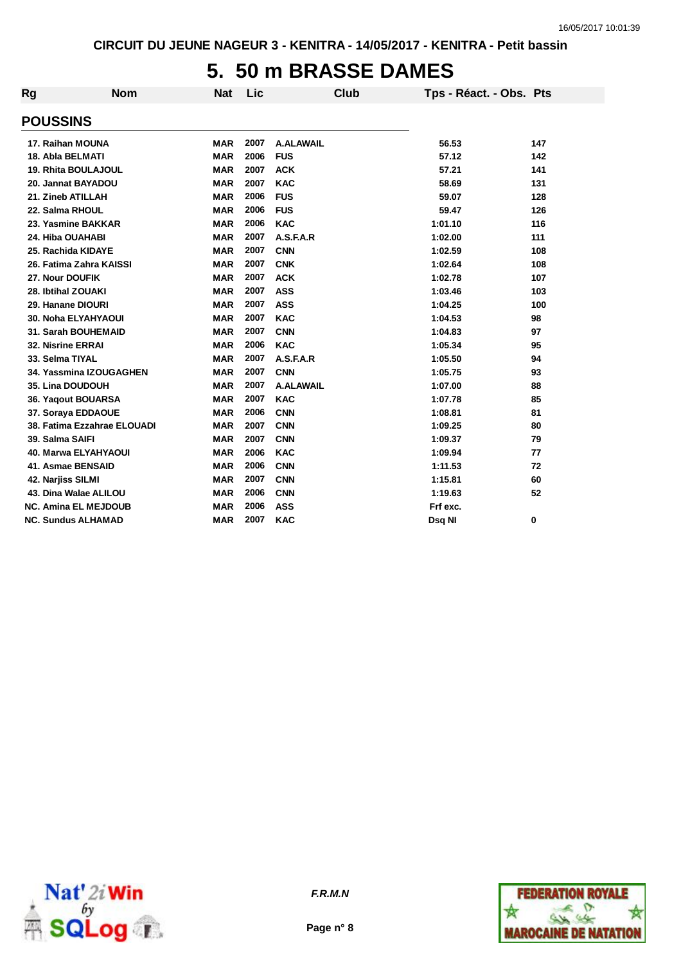#### **5. 50 m BRASSE DAMES**

| Rg | <b>Nom</b>                  | <b>Nat</b> | <b>Lic</b> |                  | <b>Club</b> | Tps - Réact. - Obs. Pts |     |
|----|-----------------------------|------------|------------|------------------|-------------|-------------------------|-----|
|    |                             |            |            |                  |             |                         |     |
|    | <b>POUSSINS</b>             |            |            |                  |             |                         |     |
|    | 17. Raihan MOUNA            | MAR        | 2007       | <b>A.ALAWAIL</b> |             | 56.53                   | 147 |
|    | 18. Abla BELMATI            | <b>MAR</b> | 2006       | <b>FUS</b>       |             | 57.12                   | 142 |
|    | 19. Rhita BOULAJOUL         | <b>MAR</b> | 2007       | <b>ACK</b>       |             | 57.21                   | 141 |
|    | 20. Jannat BAYADOU          | <b>MAR</b> | 2007       | <b>KAC</b>       |             | 58.69                   | 131 |
|    | 21. Zineb ATILLAH           | <b>MAR</b> | 2006       | <b>FUS</b>       |             | 59.07                   | 128 |
|    | 22. Salma RHOUL             | <b>MAR</b> | 2006       | <b>FUS</b>       |             | 59.47                   | 126 |
|    | 23. Yasmine BAKKAR          | <b>MAR</b> | 2006       | <b>KAC</b>       |             | 1:01.10                 | 116 |
|    | 24. Hiba OUAHABI            | <b>MAR</b> | 2007       | A.S.F.A.R        |             | 1:02.00                 | 111 |
|    | 25. Rachida KIDAYE          | <b>MAR</b> | 2007       | <b>CNN</b>       |             | 1:02.59                 | 108 |
|    | 26. Fatima Zahra KAISSI     | <b>MAR</b> | 2007       | <b>CNK</b>       |             | 1:02.64                 | 108 |
|    | 27. Nour DOUFIK             | <b>MAR</b> | 2007       | <b>ACK</b>       |             | 1:02.78                 | 107 |
|    | 28. Ibtihal ZOUAKI          | <b>MAR</b> | 2007       | <b>ASS</b>       |             | 1:03.46                 | 103 |
|    | 29. Hanane DIOURI           | <b>MAR</b> | 2007       | <b>ASS</b>       |             | 1:04.25                 | 100 |
|    | <b>30. Noha ELYAHYAOUI</b>  | <b>MAR</b> | 2007       | <b>KAC</b>       |             | 1:04.53                 | 98  |
|    | 31. Sarah BOUHEMAID         | <b>MAR</b> | 2007       | <b>CNN</b>       |             | 1:04.83                 | 97  |
|    | 32. Nisrine ERRAI           | <b>MAR</b> | 2006       | <b>KAC</b>       |             | 1:05.34                 | 95  |
|    | 33. Selma TIYAL             | <b>MAR</b> | 2007       | A.S.F.A.R        |             | 1:05.50                 | 94  |
|    | 34. Yassmina IZOUGAGHEN     | <b>MAR</b> | 2007       | <b>CNN</b>       |             | 1:05.75                 | 93  |
|    | 35. Lina DOUDOUH            | <b>MAR</b> | 2007       | <b>A.ALAWAIL</b> |             | 1:07.00                 | 88  |
|    | 36. Yaqout BOUARSA          | <b>MAR</b> | 2007       | <b>KAC</b>       |             | 1:07.78                 | 85  |
|    | 37. Soraya EDDAOUE          | <b>MAR</b> | 2006       | <b>CNN</b>       |             | 1:08.81                 | 81  |
|    | 38. Fatima Ezzahrae ELOUADI | <b>MAR</b> | 2007       | <b>CNN</b>       |             | 1:09.25                 | 80  |
|    | 39. Salma SAIFI             | <b>MAR</b> | 2007       | <b>CNN</b>       |             | 1:09.37                 | 79  |
|    | <b>40. Marwa ELYAHYAOUI</b> | <b>MAR</b> | 2006       | <b>KAC</b>       |             | 1:09.94                 | 77  |
|    | 41. Asmae BENSAID           | <b>MAR</b> | 2006       | <b>CNN</b>       |             | 1:11.53                 | 72  |
|    | 42. Narjiss SILMI           | <b>MAR</b> | 2007       | <b>CNN</b>       |             | 1:15.81                 | 60  |
|    | 43. Dina Walae ALILOU       | <b>MAR</b> | 2006       | <b>CNN</b>       |             | 1:19.63                 | 52  |
|    | <b>NC. Amina EL MEJDOUB</b> | <b>MAR</b> | 2006       | <b>ASS</b>       |             | Frf exc.                |     |
|    | <b>NC. Sundus ALHAMAD</b>   | MAR        | 2007       | <b>KAC</b>       |             | Dsq NI                  | 0   |





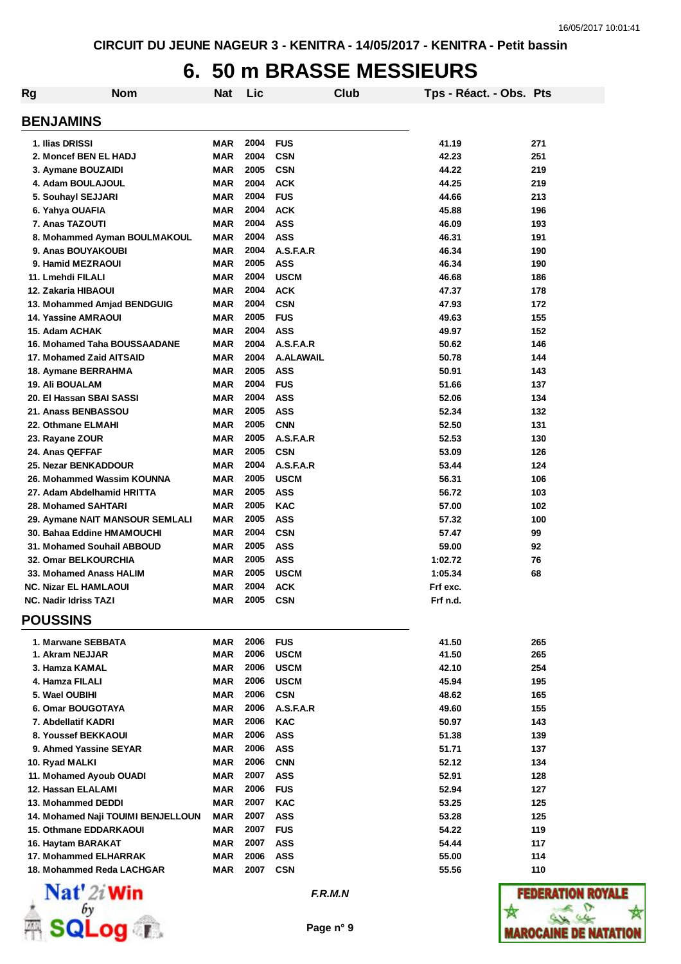# **6. 50 m BRASSE MESSIEURS**

| <b>Rg</b> | <b>Nom</b>                         | Nat        | Lic                 |                  | Club | Tps - Réact. - Obs. Pts |            |
|-----------|------------------------------------|------------|---------------------|------------------|------|-------------------------|------------|
|           | <b>BENJAMINS</b>                   |            |                     |                  |      |                         |            |
|           | 1. Ilias DRISSI                    | MAR        | 2004                | <b>FUS</b>       |      | 41.19                   | 271        |
|           | 2. Moncef BEN EL HADJ              | MAR        | 2004                | <b>CSN</b>       |      | 42.23                   | 251        |
|           | 3. Aymane BOUZAIDI                 | MAR        | 2005                | <b>CSN</b>       |      | 44.22                   | 219        |
|           | 4. Adam BOULAJOUL                  | MAR        | 2004                | <b>ACK</b>       |      | 44.25                   | 219        |
|           | 5. Souhayl SEJJARI                 | MAR        | 2004                | <b>FUS</b>       |      | 44.66                   | 213        |
|           | 6. Yahya OUAFIA                    | MAR        | 2004                | <b>ACK</b>       |      | 45.88                   | 196        |
|           | 7. Anas TAZOUTI                    | <b>MAR</b> | 2004                | <b>ASS</b>       |      | 46.09                   | 193        |
|           | 8. Mohammed Ayman BOULMAKOUL       | MAR        | 2004                | <b>ASS</b>       |      | 46.31                   | 191        |
|           | 9. Anas BOUYAKOUBI                 | MAR        | 2004                | A.S.F.A.R        |      | 46.34                   | 190        |
|           | 9. Hamid MEZRAOUI                  | MAR        | 2005                | <b>ASS</b>       |      | 46.34                   | 190        |
|           | 11. Lmehdi FILALI                  | MAR        | 2004                | <b>USCM</b>      |      | 46.68                   | 186        |
|           | 12. Zakaria HIBAOUI                | MAR        | 2004                | <b>ACK</b>       |      | 47.37                   | 178        |
|           | 13. Mohammed Amjad BENDGUIG        | MAR        | 2004                | <b>CSN</b>       |      | 47.93                   | 172        |
|           | <b>14. Yassine AMRAOUI</b>         | MAR        | 2005                | <b>FUS</b>       |      | 49.63                   | 155        |
|           | 15. Adam ACHAK                     | MAR        | 2004                | <b>ASS</b>       |      | 49.97                   | 152        |
|           | 16. Mohamed Taha BOUSSAADANE       | MAR        | 2004                | A.S.F.A.R        |      | 50.62                   | 146        |
|           | 17. Mohamed Zaid AITSAID           | <b>MAR</b> | 2004                | <b>A.ALAWAIL</b> |      | 50.78                   | 144        |
|           | 18. Aymane BERRAHMA                | <b>MAR</b> | 2005                | <b>ASS</b>       |      | 50.91                   | 143        |
|           | <b>19. Ali BOUALAM</b>             | MAR        | 2004                | <b>FUS</b>       |      | 51.66                   | 137        |
|           | 20. El Hassan SBAI SASSI           | MAR        | 2004                | <b>ASS</b>       |      | 52.06                   | 134        |
|           | 21. Anass BENBASSOU                | MAR        | 2005                | <b>ASS</b>       |      | 52.34                   | 132        |
|           | 22. Othmane ELMAHI                 | MAR        | 2005                | <b>CNN</b>       |      | 52.50                   | 131        |
|           | 23. Rayane ZOUR                    | MAR        | 2005                | A.S.F.A.R        |      | 52.53                   | 130        |
|           | 24. Anas QEFFAF                    | MAR        | 2005                | <b>CSN</b>       |      | 53.09                   | 126        |
|           | 25. Nezar BENKADDOUR               | MAR        | 2004                | A.S.F.A.R        |      | 53.44                   | 124        |
|           | 26. Mohammed Wassim KOUNNA         | MAR        | 2005                | <b>USCM</b>      |      | 56.31                   | 106        |
|           | 27. Adam Abdelhamid HRITTA         | MAR        | 2005                | <b>ASS</b>       |      | 56.72                   | 103        |
|           | <b>28. Mohamed SAHTARI</b>         | <b>MAR</b> | 2005                | <b>KAC</b>       |      | 57.00                   | 102        |
|           | 29. Aymane NAIT MANSOUR SEMLALI    | <b>MAR</b> | 2005                | <b>ASS</b>       |      | 57.32                   | 100        |
|           | 30. Bahaa Eddine HMAMOUCHI         | <b>MAR</b> | 2004                | <b>CSN</b>       |      | 57.47                   | 99         |
|           | 31. Mohamed Souhail ABBOUD         | <b>MAR</b> | 2005                | <b>ASS</b>       |      | 59.00                   | 92         |
|           | <b>32. Omar BELKOURCHIA</b>        | MAR        | 2005                | <b>ASS</b>       |      | 1:02.72                 | 76         |
|           | 33. Mohamed Anass HALIM            | MAR        | 2005                | <b>USCM</b>      |      | 1:05.34                 | 68         |
|           | <b>NC. Nizar EL HAMLAOUI</b>       | <b>MAR</b> | 2004                | <b>ACK</b>       |      | Frf exc.                |            |
|           | <b>NC. Nadir Idriss TAZI</b>       |            | <b>MAR 2005 CSN</b> |                  |      | Frf n.d.                |            |
|           | <b>POUSSINS</b>                    |            |                     |                  |      |                         |            |
|           | 1. Marwane SEBBATA                 | MAR        | 2006                | <b>FUS</b>       |      | 41.50                   | 265        |
|           | 1. Akram NEJJAR                    | MAR        | 2006                | <b>USCM</b>      |      | 41.50                   | 265        |
|           | 3. Hamza KAMAL                     | MAR        | 2006                | <b>USCM</b>      |      | 42.10                   | 254        |
|           | 4. Hamza FILALI                    | MAR        | 2006                | <b>USCM</b>      |      | 45.94                   | 195        |
|           | 5. Wael OUBIHI                     | MAR        | 2006                | <b>CSN</b>       |      | 48.62                   | 165        |
|           | 6. Omar BOUGOTAYA                  | <b>MAR</b> | 2006                | A.S.F.A.R        |      | 49.60                   | 155        |
|           | 7. Abdellatif KADRI                | MAR        | 2006                | <b>KAC</b>       |      | 50.97                   | 143        |
|           | 8. Youssef BEKKAOUI                | MAR        | 2006                | <b>ASS</b>       |      | 51.38                   | 139        |
|           | 9. Ahmed Yassine SEYAR             | MAR        | 2006                | <b>ASS</b>       |      | 51.71                   | 137        |
|           | 10. Ryad MALKI                     | MAR        | 2006                | <b>CNN</b>       |      | 52.12                   | 134        |
|           | 11. Mohamed Ayoub OUADI            | <b>MAR</b> | 2007                | <b>ASS</b>       |      | 52.91                   | 128        |
|           | 12. Hassan ELALAMI                 | MAR        | 2006                | <b>FUS</b>       |      | 52.94                   | 127        |
|           | 13. Mohammed DEDDI                 | <b>MAR</b> | 2007                | <b>KAC</b>       |      | 53.25                   | 125        |
|           | 14. Mohamed Naji TOUIMI BENJELLOUN | MAR        | 2007                | <b>ASS</b>       |      | 53.28                   | 125        |
|           | 15. Othmane EDDARKAOUI             | MAR        | 2007                | <b>FUS</b>       |      | 54.22                   | 119        |
|           |                                    |            | 2007                | <b>ASS</b>       |      | 54.44                   |            |
|           | 16. Haytam BARAKAT                 | MAR        | 2006                | <b>ASS</b>       |      |                         | 117<br>114 |
|           | 17. Mohammed ELHARRAK              | MAR        |                     |                  |      | 55.00                   |            |
|           | 18. Mohammed Reda LACHGAR          | MAR        | 2007                | <b>CSN</b>       |      | 55.56                   | 110        |



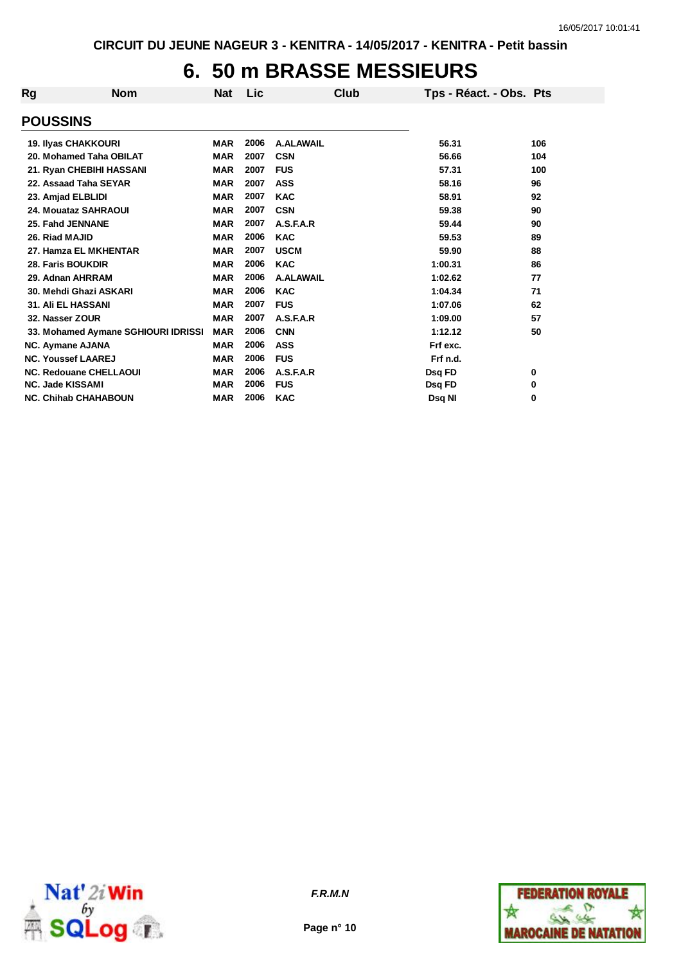# **6. 50 m BRASSE MESSIEURS**

| Rg                          | <b>Nom</b>                          | Nat        | Lic  | Club             | Tps - Réact. - Obs. Pts |     |
|-----------------------------|-------------------------------------|------------|------|------------------|-------------------------|-----|
| <b>POUSSINS</b>             |                                     |            |      |                  |                         |     |
| <b>19. Ilyas CHAKKOURI</b>  |                                     | <b>MAR</b> | 2006 | A.ALAWAIL        | 56.31                   | 106 |
|                             | 20. Mohamed Taha OBILAT             | <b>MAR</b> | 2007 | <b>CSN</b>       | 56.66                   | 104 |
|                             | 21. Ryan CHEBIHI HASSANI            | <b>MAR</b> | 2007 | <b>FUS</b>       | 57.31                   | 100 |
| 22. Assaad Taha SEYAR       |                                     | <b>MAR</b> | 2007 | <b>ASS</b>       | 58.16                   | 96  |
| 23. Amjad ELBLIDI           |                                     | <b>MAR</b> | 2007 | <b>KAC</b>       | 58.91                   | 92  |
| 24. Mouataz SAHRAOUI        |                                     | <b>MAR</b> | 2007 | <b>CSN</b>       | 59.38                   | 90  |
| 25. Fahd JENNANE            |                                     | <b>MAR</b> | 2007 | A.S.F.A.R        | 59.44                   | 90  |
| 26. Riad MAJID              |                                     | <b>MAR</b> | 2006 | <b>KAC</b>       | 59.53                   | 89  |
|                             | 27. Hamza EL MKHENTAR               | <b>MAR</b> | 2007 | <b>USCM</b>      | 59.90                   | 88  |
| 28. Faris BOUKDIR           |                                     | <b>MAR</b> | 2006 | <b>KAC</b>       | 1:00.31                 | 86  |
| 29. Adnan AHRRAM            |                                     | <b>MAR</b> | 2006 | <b>A.ALAWAIL</b> | 1:02.62                 | 77  |
|                             | 30. Mehdi Ghazi ASKARI              | <b>MAR</b> | 2006 | <b>KAC</b>       | 1:04.34                 | 71  |
| <b>31. Ali EL HASSANI</b>   |                                     | <b>MAR</b> | 2007 | <b>FUS</b>       | 1:07.06                 | 62  |
| 32. Nasser ZOUR             |                                     | <b>MAR</b> | 2007 | A.S.F.A.R        | 1:09.00                 | 57  |
|                             | 33. Mohamed Aymane SGHIOURI IDRISSI | <b>MAR</b> | 2006 | <b>CNN</b>       | 1:12.12                 | 50  |
| <b>NC. Aymane AJANA</b>     |                                     | <b>MAR</b> | 2006 | <b>ASS</b>       | Frf exc.                |     |
| <b>NC. Youssef LAAREJ</b>   |                                     | <b>MAR</b> | 2006 | <b>FUS</b>       | Frf n.d.                |     |
|                             | <b>NC. Redouane CHELLAOUI</b>       | <b>MAR</b> | 2006 | A.S.F.A.R        | Dsq FD                  | 0   |
| <b>NC. Jade KISSAMI</b>     |                                     | <b>MAR</b> | 2006 | <b>FUS</b>       | Dsq FD                  | 0   |
| <b>NC. Chihab CHAHABOUN</b> |                                     | <b>MAR</b> | 2006 | <b>KAC</b>       | Dsq NI                  | 0   |



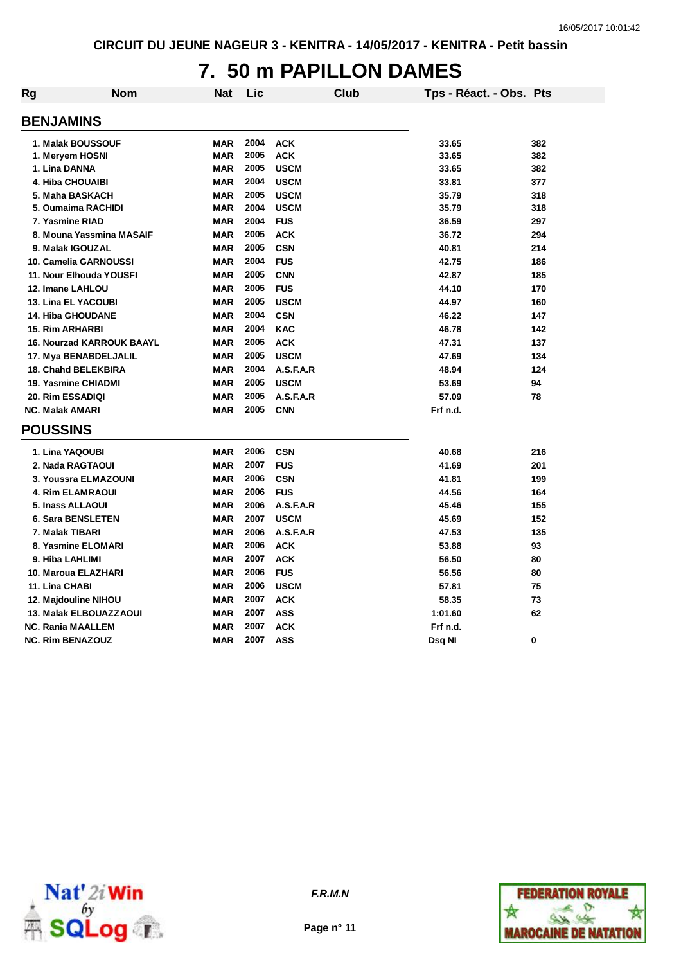### **7. 50 m PAPILLON DAMES**

| Rg | Nom                              | <b>Nat</b> | Lic  | Club        | Tps - Réact. - Obs. Pts |     |
|----|----------------------------------|------------|------|-------------|-------------------------|-----|
|    | <b>BENJAMINS</b>                 |            |      |             |                         |     |
|    | 1. Malak BOUSSOUF                | <b>MAR</b> | 2004 | <b>ACK</b>  | 33.65                   | 382 |
|    | 1. Meryem HOSNI                  | <b>MAR</b> | 2005 | <b>ACK</b>  | 33.65                   | 382 |
|    | 1. Lina DANNA                    | <b>MAR</b> | 2005 | <b>USCM</b> | 33.65                   | 382 |
|    | <b>4. Hiba CHOUAIBI</b>          | <b>MAR</b> | 2004 | <b>USCM</b> | 33.81                   | 377 |
|    | 5. Maha BASKACH                  | <b>MAR</b> | 2005 | <b>USCM</b> | 35.79                   | 318 |
|    | 5. Oumaima RACHIDI               | <b>MAR</b> | 2004 | <b>USCM</b> | 35.79                   | 318 |
|    | 7. Yasmine RIAD                  | <b>MAR</b> | 2004 | <b>FUS</b>  | 36.59                   | 297 |
|    | 8. Mouna Yassmina MASAIF         | <b>MAR</b> | 2005 | <b>ACK</b>  | 36.72                   | 294 |
|    | 9. Malak IGOUZAL                 | <b>MAR</b> | 2005 | <b>CSN</b>  | 40.81                   | 214 |
|    | 10. Camelia GARNOUSSI            | <b>MAR</b> | 2004 | <b>FUS</b>  | 42.75                   | 186 |
|    | 11. Nour Elhouda YOUSFI          | <b>MAR</b> | 2005 | <b>CNN</b>  | 42.87                   | 185 |
|    | 12. Imane LAHLOU                 | <b>MAR</b> | 2005 | <b>FUS</b>  | 44.10                   | 170 |
|    | <b>13. Lina EL YACOUBI</b>       | <b>MAR</b> | 2005 | <b>USCM</b> | 44.97                   | 160 |
|    | <b>14. Hiba GHOUDANE</b>         | <b>MAR</b> | 2004 | <b>CSN</b>  | 46.22                   | 147 |
|    | <b>15. Rim ARHARBI</b>           | <b>MAR</b> | 2004 | <b>KAC</b>  | 46.78                   | 142 |
|    | <b>16. Nourzad KARROUK BAAYL</b> | <b>MAR</b> | 2005 | <b>ACK</b>  | 47.31                   | 137 |
|    | 17. Mya BENABDELJALIL            | <b>MAR</b> | 2005 | <b>USCM</b> | 47.69                   | 134 |
|    | 18. Chahd BELEKBIRA              | <b>MAR</b> | 2004 | A.S.F.A.R   | 48.94                   | 124 |
|    | 19. Yasmine CHIADMI              | <b>MAR</b> | 2005 | <b>USCM</b> | 53.69                   | 94  |
|    | 20. Rim ESSADIQI                 | <b>MAR</b> | 2005 | A.S.F.A.R   | 57.09                   | 78  |
|    | <b>NC. Malak AMARI</b>           | <b>MAR</b> | 2005 | <b>CNN</b>  | Frf n.d.                |     |
|    | <b>POUSSINS</b>                  |            |      |             |                         |     |
|    | 1. Lina YAQOUBI                  | <b>MAR</b> | 2006 | <b>CSN</b>  | 40.68                   | 216 |
|    | 2. Nada RAGTAOUI                 | <b>MAR</b> | 2007 | <b>FUS</b>  | 41.69                   | 201 |
|    | 3. Youssra ELMAZOUNI             | <b>MAR</b> | 2006 | <b>CSN</b>  | 41.81                   | 199 |
|    | <b>4. Rim ELAMRAOUI</b>          | <b>MAR</b> | 2006 | <b>FUS</b>  | 44.56                   | 164 |
|    | 5. Inass ALLAOUI                 | <b>MAR</b> | 2006 | A.S.F.A.R   | 45.46                   | 155 |
|    | <b>6. Sara BENSLETEN</b>         | <b>MAR</b> | 2007 | <b>USCM</b> | 45.69                   | 152 |
|    | 7. Malak TIBARI                  | <b>MAR</b> | 2006 | A.S.F.A.R   | 47.53                   | 135 |
|    | 8. Yasmine ELOMARI               | <b>MAR</b> | 2006 | <b>ACK</b>  | 53.88                   | 93  |
|    | 9. Hiba LAHLIMI                  | <b>MAR</b> | 2007 | <b>ACK</b>  | 56.50                   | 80  |
|    | 10. Maroua ELAZHARI              | <b>MAR</b> | 2006 | <b>FUS</b>  | 56.56                   | 80  |
|    | 11. Lina CHABI                   | <b>MAR</b> | 2006 | <b>USCM</b> | 57.81                   | 75  |
|    | 12. Majdouline NIHOU             | <b>MAR</b> | 2007 | <b>ACK</b>  | 58.35                   | 73  |
|    | 13. Malak ELBOUAZZAOUI           | <b>MAR</b> | 2007 | <b>ASS</b>  | 1:01.60                 | 62  |
|    | <b>NC. Rania MAALLEM</b>         | <b>MAR</b> | 2007 | <b>ACK</b>  | Frf n.d.                |     |
|    | <b>NC. Rim BENAZOUZ</b>          | <b>MAR</b> | 2007 | <b>ASS</b>  | Dsq Nl                  | 0   |



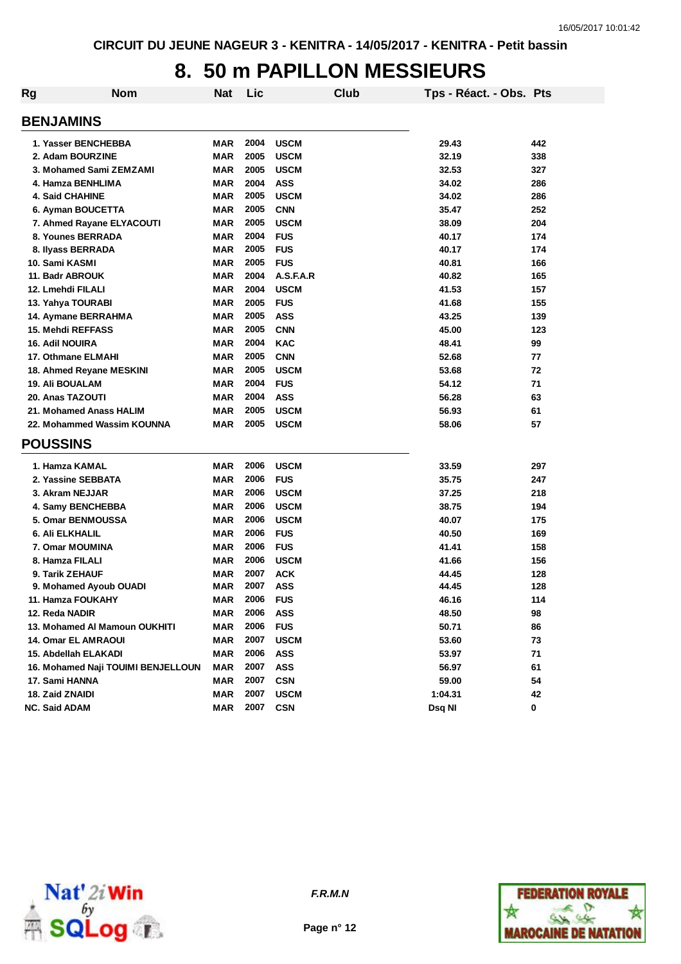### **8. 50 m PAPILLON MESSIEURS**

| Rg                            | <b>Nom</b>                         | <b>Nat</b> | Lic  |             | Club | Tps - Réact. - Obs. Pts |     |
|-------------------------------|------------------------------------|------------|------|-------------|------|-------------------------|-----|
| <b>BENJAMINS</b>              |                                    |            |      |             |      |                         |     |
| 1. Yasser BENCHEBBA           |                                    | <b>MAR</b> | 2004 | <b>USCM</b> |      | 29.43                   | 442 |
| 2. Adam BOURZINE              |                                    | <b>MAR</b> | 2005 | <b>USCM</b> |      | 32.19                   | 338 |
| 3. Mohamed Sami ZEMZAMI       |                                    | <b>MAR</b> | 2005 | <b>USCM</b> |      | 32.53                   | 327 |
| 4. Hamza BENHLIMA             |                                    | <b>MAR</b> | 2004 | <b>ASS</b>  |      | 34.02                   | 286 |
| <b>4. Said CHAHINE</b>        |                                    | <b>MAR</b> | 2005 | <b>USCM</b> |      | 34.02                   | 286 |
| 6. Ayman BOUCETTA             |                                    | <b>MAR</b> | 2005 | <b>CNN</b>  |      | 35.47                   | 252 |
| 7. Ahmed Rayane ELYACOUTI     |                                    | <b>MAR</b> | 2005 | <b>USCM</b> |      | 38.09                   | 204 |
| 8. Younes BERRADA             |                                    | <b>MAR</b> | 2004 | <b>FUS</b>  |      | 40.17                   | 174 |
| 8. Ilyass BERRADA             |                                    | <b>MAR</b> | 2005 | <b>FUS</b>  |      | 40.17                   | 174 |
| 10. Sami KASMI                |                                    | <b>MAR</b> | 2005 | <b>FUS</b>  |      | 40.81                   | 166 |
| 11. Badr ABROUK               |                                    | <b>MAR</b> | 2004 | A.S.F.A.R   |      | 40.82                   | 165 |
| 12. Lmehdi FILALI             |                                    | <b>MAR</b> | 2004 | <b>USCM</b> |      | 41.53                   | 157 |
| 13. Yahya TOURABI             |                                    | <b>MAR</b> | 2005 | <b>FUS</b>  |      | 41.68                   | 155 |
| 14. Aymane BERRAHMA           |                                    | <b>MAR</b> | 2005 | <b>ASS</b>  |      | 43.25                   | 139 |
| <b>15. Mehdi REFFASS</b>      |                                    | <b>MAR</b> | 2005 | <b>CNN</b>  |      | 45.00                   | 123 |
| <b>16. Adil NOUIRA</b>        |                                    | <b>MAR</b> | 2004 | <b>KAC</b>  |      | 48.41                   | 99  |
| 17. Othmane ELMAHI            |                                    | <b>MAR</b> | 2005 | <b>CNN</b>  |      | 52.68                   | 77  |
| 18. Ahmed Reyane MESKINI      |                                    | MAR        | 2005 | <b>USCM</b> |      | 53.68                   | 72  |
| 19. Ali BOUALAM               |                                    | <b>MAR</b> | 2004 | <b>FUS</b>  |      | 54.12                   | 71  |
| 20. Anas TAZOUTI              |                                    | <b>MAR</b> | 2004 | <b>ASS</b>  |      | 56.28                   | 63  |
| 21. Mohamed Anass HALIM       |                                    | <b>MAR</b> | 2005 | <b>USCM</b> |      | 56.93                   | 61  |
| 22. Mohammed Wassim KOUNNA    |                                    | <b>MAR</b> | 2005 | <b>USCM</b> |      | 58.06                   | 57  |
| <b>POUSSINS</b>               |                                    |            |      |             |      |                         |     |
| 1. Hamza KAMAL                |                                    | MAR        | 2006 | <b>USCM</b> |      | 33.59                   | 297 |
| 2. Yassine SEBBATA            |                                    | <b>MAR</b> | 2006 | <b>FUS</b>  |      | 35.75                   | 247 |
| 3. Akram NEJJAR               |                                    | <b>MAR</b> | 2006 | <b>USCM</b> |      | 37.25                   | 218 |
| 4. Samy BENCHEBBA             |                                    | <b>MAR</b> | 2006 | <b>USCM</b> |      | 38.75                   | 194 |
| 5. Omar BENMOUSSA             |                                    | <b>MAR</b> | 2006 | <b>USCM</b> |      | 40.07                   | 175 |
| <b>6. Ali ELKHALIL</b>        |                                    | <b>MAR</b> | 2006 | <b>FUS</b>  |      | 40.50                   | 169 |
| 7. Omar MOUMINA               |                                    | <b>MAR</b> | 2006 | <b>FUS</b>  |      | 41.41                   | 158 |
| 8. Hamza FILALI               |                                    | <b>MAR</b> | 2006 | <b>USCM</b> |      | 41.66                   | 156 |
| 9. Tarik ZEHAUF               |                                    | <b>MAR</b> | 2007 | <b>ACK</b>  |      | 44.45                   | 128 |
| 9. Mohamed Ayoub OUADI        |                                    | MAR        | 2007 | <b>ASS</b>  |      | 44.45                   | 128 |
| 11. Hamza FOUKAHY             |                                    | <b>MAR</b> | 2006 | <b>FUS</b>  |      | 46.16                   | 114 |
| 12. Reda NADIR                |                                    | MAR        | 2006 | <b>ASS</b>  |      | 48.50                   | 98  |
| 13. Mohamed AI Mamoun OUKHITI |                                    | MAR        | 2006 | <b>FUS</b>  |      | 50.71                   | 86  |
| <b>14. Omar EL AMRAOUI</b>    |                                    | <b>MAR</b> | 2007 | <b>USCM</b> |      | 53.60                   | 73  |
| 15. Abdellah ELAKADI          |                                    | <b>MAR</b> | 2006 | <b>ASS</b>  |      | 53.97                   | 71  |
|                               | 16. Mohamed Naji TOUIMI BENJELLOUN | <b>MAR</b> | 2007 | ASS         |      | 56.97                   | 61  |
| 17. Sami HANNA                |                                    | <b>MAR</b> | 2007 | <b>CSN</b>  |      | 59.00                   | 54  |
| 18. Zaid ZNAIDI               |                                    | <b>MAR</b> | 2007 | <b>USCM</b> |      | 1:04.31                 | 42  |
| <b>NC. Said ADAM</b>          |                                    | <b>MAR</b> | 2007 | <b>CSN</b>  |      | Dsq NI                  | 0   |





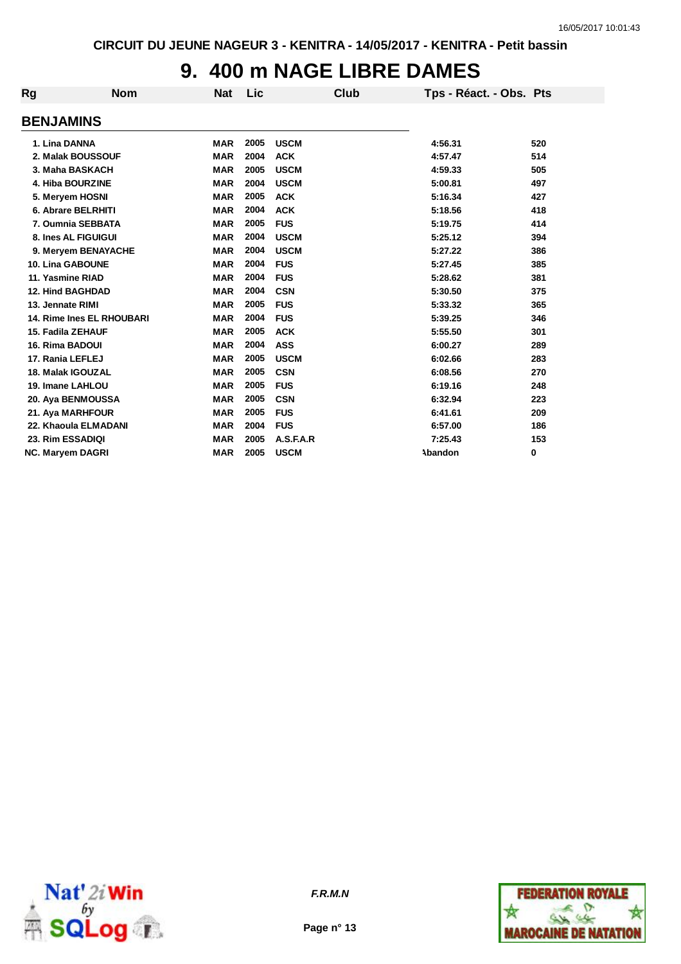## **9. 400 m NAGE LIBRE DAMES**

| <b>Rg</b>               | <b>Nom</b>                | <b>Nat</b> | Lic  |             | <b>Club</b> | Tps - Réact. - Obs. Pts |     |
|-------------------------|---------------------------|------------|------|-------------|-------------|-------------------------|-----|
| <b>BENJAMINS</b>        |                           |            |      |             |             |                         |     |
| 1. Lina DANNA           |                           | <b>MAR</b> | 2005 | <b>USCM</b> |             | 4:56.31                 | 520 |
| 2. Malak BOUSSOUF       |                           | <b>MAR</b> | 2004 | <b>ACK</b>  |             | 4:57.47                 | 514 |
| 3. Maha BASKACH         |                           | <b>MAR</b> | 2005 | <b>USCM</b> |             | 4:59.33                 | 505 |
| 4. Hiba BOURZINE        |                           | <b>MAR</b> | 2004 | <b>USCM</b> |             | 5:00.81                 | 497 |
| 5. Meryem HOSNI         |                           | <b>MAR</b> | 2005 | <b>ACK</b>  |             | 5:16.34                 | 427 |
| 6. Abrare BELRHITI      |                           | <b>MAR</b> | 2004 | <b>ACK</b>  |             | 5:18.56                 | 418 |
| 7. Oumnia SEBBATA       |                           | <b>MAR</b> | 2005 | <b>FUS</b>  |             | 5:19.75                 | 414 |
| 8. Ines AL FIGUIGUI     |                           | <b>MAR</b> | 2004 | <b>USCM</b> |             | 5:25.12                 | 394 |
|                         | 9. Meryem BENAYACHE       | <b>MAR</b> | 2004 | <b>USCM</b> |             | 5:27.22                 | 386 |
| 10. Lina GABOUNE        |                           | <b>MAR</b> | 2004 | <b>FUS</b>  |             | 5:27.45                 | 385 |
| 11. Yasmine RIAD        |                           | <b>MAR</b> | 2004 | <b>FUS</b>  |             | 5:28.62                 | 381 |
| <b>12. Hind BAGHDAD</b> |                           | <b>MAR</b> | 2004 | <b>CSN</b>  |             | 5:30.50                 | 375 |
| 13. Jennate RIMI        |                           | <b>MAR</b> | 2005 | <b>FUS</b>  |             | 5:33.32                 | 365 |
|                         | 14. Rime Ines EL RHOUBARI | <b>MAR</b> | 2004 | <b>FUS</b>  |             | 5:39.25                 | 346 |
| 15. Fadila ZEHAUF       |                           | <b>MAR</b> | 2005 | <b>ACK</b>  |             | 5:55.50                 | 301 |
| 16. Rima BADOUI         |                           | <b>MAR</b> | 2004 | <b>ASS</b>  |             | 6:00.27                 | 289 |
| 17. Rania LEFLEJ        |                           | <b>MAR</b> | 2005 | <b>USCM</b> |             | 6:02.66                 | 283 |
| 18. Malak IGOUZAL       |                           | <b>MAR</b> | 2005 | <b>CSN</b>  |             | 6:08.56                 | 270 |
| 19. Imane LAHLOU        |                           | <b>MAR</b> | 2005 | <b>FUS</b>  |             | 6:19.16                 | 248 |
| 20. Aya BENMOUSSA       |                           | <b>MAR</b> | 2005 | <b>CSN</b>  |             | 6:32.94                 | 223 |
| 21. Aya MARHFOUR        |                           | <b>MAR</b> | 2005 | <b>FUS</b>  |             | 6:41.61                 | 209 |
| 22. Khaoula ELMADANI    |                           | <b>MAR</b> | 2004 | <b>FUS</b>  |             | 6:57.00                 | 186 |
| 23. Rim ESSADIQI        |                           | <b>MAR</b> | 2005 | A.S.F.A.R   |             | 7:25.43                 | 153 |
| <b>NC. Maryem DAGRI</b> |                           | <b>MAR</b> | 2005 | <b>USCM</b> |             | <b>Abandon</b>          | 0   |



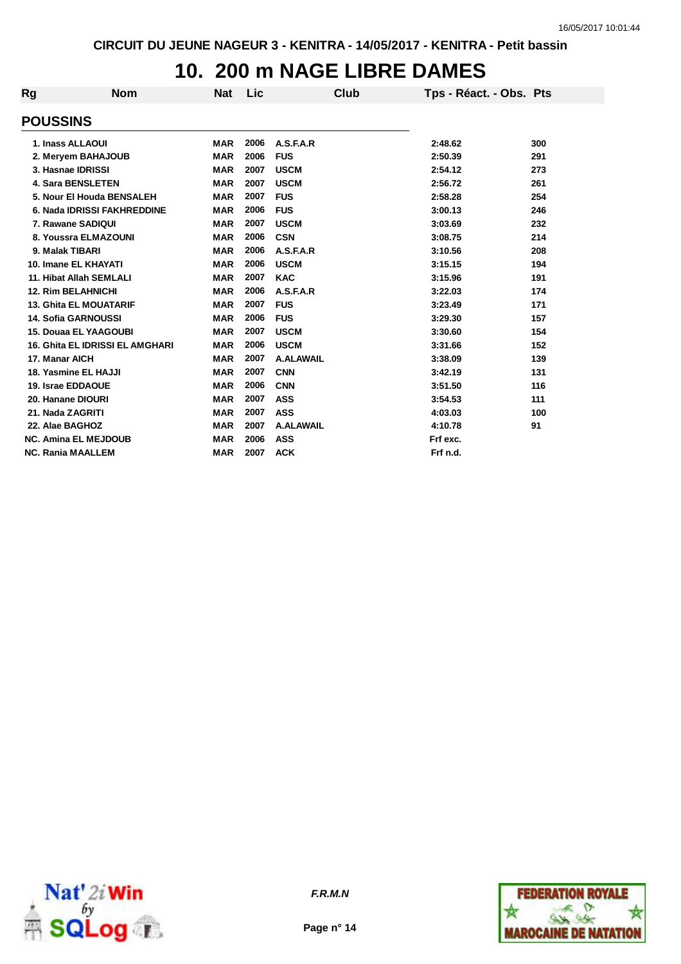## **10. 200 m NAGE LIBRE DAMES**

| <b>Rg</b>                | <b>Nom</b>                             | <b>Nat</b> | Lic  | <b>Club</b>      | Tps - Réact. - Obs. Pts |     |
|--------------------------|----------------------------------------|------------|------|------------------|-------------------------|-----|
| <b>POUSSINS</b>          |                                        |            |      |                  |                         |     |
|                          | 1. Inass ALLAOUI                       | <b>MAR</b> | 2006 | A.S.F.A.R        | 2:48.62                 | 300 |
|                          | 2. Meryem BAHAJOUB                     | <b>MAR</b> | 2006 | <b>FUS</b>       | 2:50.39                 | 291 |
|                          | 3. Hasnae IDRISSI                      | <b>MAR</b> | 2007 | <b>USCM</b>      | 2:54.12                 | 273 |
|                          | <b>4. Sara BENSLETEN</b>               | <b>MAR</b> | 2007 | <b>USCM</b>      | 2:56.72                 | 261 |
|                          | 5. Nour El Houda BENSALEH              | <b>MAR</b> | 2007 | <b>FUS</b>       | 2:58.28                 | 254 |
|                          | 6. Nada IDRISSI FAKHREDDINE            | <b>MAR</b> | 2006 | <b>FUS</b>       | 3:00.13                 | 246 |
|                          | 7. Rawane SADIQUI                      | <b>MAR</b> | 2007 | <b>USCM</b>      | 3:03.69                 | 232 |
|                          | 8. Youssra ELMAZOUNI                   | <b>MAR</b> | 2006 | <b>CSN</b>       | 3:08.75                 | 214 |
| 9. Malak TIBARI          |                                        | <b>MAR</b> | 2006 | A.S.F.A.R        | 3:10.56                 | 208 |
|                          | 10. Imane EL KHAYATI                   | <b>MAR</b> | 2006 | <b>USCM</b>      | 3:15.15                 | 194 |
|                          | 11. Hibat Allah SEMLALI                | <b>MAR</b> | 2007 | <b>KAC</b>       | 3:15.96                 | 191 |
|                          | <b>12. Rim BELAHNICHI</b>              | <b>MAR</b> | 2006 | A.S.F.A.R        | 3:22.03                 | 174 |
|                          | <b>13. Ghita EL MOUATARIF</b>          | <b>MAR</b> | 2007 | <b>FUS</b>       | 3:23.49                 | 171 |
|                          | <b>14. Sofia GARNOUSSI</b>             | <b>MAR</b> | 2006 | <b>FUS</b>       | 3:29.30                 | 157 |
|                          | <b>15. Douaa EL YAAGOUBI</b>           | <b>MAR</b> | 2007 | <b>USCM</b>      | 3:30.60                 | 154 |
|                          | <b>16. Ghita EL IDRISSI EL AMGHARI</b> | <b>MAR</b> | 2006 | <b>USCM</b>      | 3:31.66                 | 152 |
| 17. Manar AICH           |                                        | <b>MAR</b> | 2007 | <b>A.ALAWAIL</b> | 3:38.09                 | 139 |
|                          | 18. Yasmine EL HAJJI                   | <b>MAR</b> | 2007 | <b>CNN</b>       | 3:42.19                 | 131 |
| 19. Israe EDDAOUE        |                                        | <b>MAR</b> | 2006 | <b>CNN</b>       | 3:51.50                 | 116 |
| 20. Hanane DIOURI        |                                        | <b>MAR</b> | 2007 | <b>ASS</b>       | 3:54.53                 | 111 |
| 21. Nada ZAGRITI         |                                        | <b>MAR</b> | 2007 | <b>ASS</b>       | 4:03.03                 | 100 |
| 22. Alae BAGHOZ          |                                        | <b>MAR</b> | 2007 | <b>A.ALAWAIL</b> | 4:10.78                 | 91  |
|                          | <b>NC. Amina EL MEJDOUB</b>            | <b>MAR</b> | 2006 | <b>ASS</b>       | Frf exc.                |     |
| <b>NC. Rania MAALLEM</b> |                                        | <b>MAR</b> | 2007 | <b>ACK</b>       | Frf n.d.                |     |



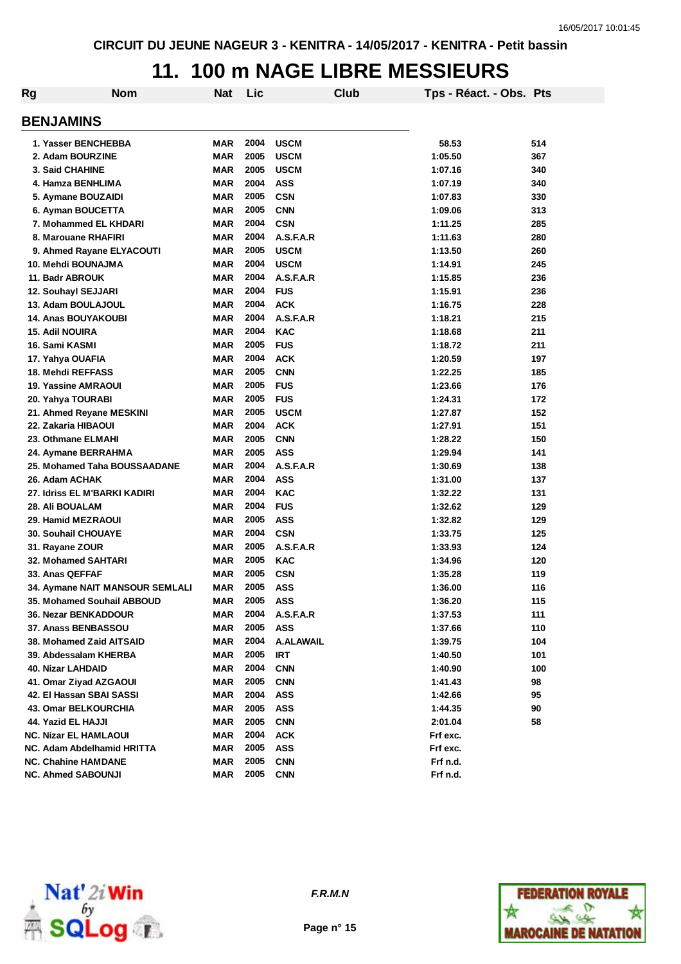#### **11. 100 m NAGE LIBRE MESSIEURS**

| Rg | <b>Nom</b>                              | <b>Nat</b> | Lic  | Club                     | Tps - Réact. - Obs. Pts |     |
|----|-----------------------------------------|------------|------|--------------------------|-------------------------|-----|
|    | <b>BENJAMINS</b>                        |            |      |                          |                         |     |
|    |                                         |            | 2004 |                          |                         |     |
|    | 1. Yasser BENCHEBBA<br>2. Adam BOURZINE | MAR        | 2005 | <b>USCM</b>              | 58.53                   | 514 |
|    |                                         | <b>MAR</b> | 2005 | <b>USCM</b>              | 1:05.50                 | 367 |
|    | <b>3. Said CHAHINE</b>                  | <b>MAR</b> | 2004 | <b>USCM</b>              | 1:07.16                 | 340 |
|    | 4. Hamza BENHLIMA                       | <b>MAR</b> | 2005 | <b>ASS</b>               | 1:07.19                 | 340 |
|    | 5. Aymane BOUZAIDI                      | <b>MAR</b> | 2005 | <b>CSN</b>               | 1:07.83                 | 330 |
|    | 6. Ayman BOUCETTA                       | <b>MAR</b> | 2004 | <b>CNN</b>               | 1:09.06                 | 313 |
|    | 7. Mohammed EL KHDARI                   | <b>MAR</b> | 2004 | <b>CSN</b>               | 1:11.25                 | 285 |
|    | 8. Marouane RHAFIRI                     | <b>MAR</b> | 2005 | A.S.F.A.R<br><b>USCM</b> | 1:11.63                 | 280 |
|    | 9. Ahmed Rayane ELYACOUTI               | <b>MAR</b> | 2004 |                          | 1:13.50                 | 260 |
|    | 10. Mehdi BOUNAJMA                      | <b>MAR</b> | 2004 | <b>USCM</b><br>A.S.F.A.R | 1:14.91                 | 245 |
|    | 11. Badr ABROUK                         | <b>MAR</b> | 2004 |                          | 1:15.85                 | 236 |
|    | 12. Souhayl SEJJARI                     | <b>MAR</b> |      | <b>FUS</b>               | 1:15.91                 | 236 |
|    | 13. Adam BOULAJOUL                      | <b>MAR</b> | 2004 | <b>ACK</b>               | 1:16.75                 | 228 |
|    | <b>14. Anas BOUYAKOUBI</b>              | <b>MAR</b> | 2004 | A.S.F.A.R                | 1:18.21                 | 215 |
|    | <b>15. Adil NOUIRA</b>                  | <b>MAR</b> | 2004 | <b>KAC</b>               | 1:18.68                 | 211 |
|    | 16. Sami KASMI                          | <b>MAR</b> | 2005 | <b>FUS</b>               | 1:18.72                 | 211 |
|    | 17. Yahya OUAFIA                        | <b>MAR</b> | 2004 | <b>ACK</b>               | 1:20.59                 | 197 |
|    | 18. Mehdi REFFASS                       | <b>MAR</b> | 2005 | <b>CNN</b>               | 1:22.25                 | 185 |
|    | 19. Yassine AMRAOUI                     | <b>MAR</b> | 2005 | <b>FUS</b>               | 1:23.66                 | 176 |
|    | 20. Yahya TOURABI                       | <b>MAR</b> | 2005 | <b>FUS</b>               | 1:24.31                 | 172 |
|    | 21. Ahmed Reyane MESKINI                | <b>MAR</b> | 2005 | <b>USCM</b>              | 1:27.87                 | 152 |
|    | 22. Zakaria HIBAOUI                     | <b>MAR</b> | 2004 | <b>ACK</b>               | 1:27.91                 | 151 |
|    | 23. Othmane ELMAHI                      | <b>MAR</b> | 2005 | <b>CNN</b>               | 1:28.22                 | 150 |
|    | 24. Aymane BERRAHMA                     | <b>MAR</b> | 2005 | <b>ASS</b>               | 1:29.94                 | 141 |
|    | 25. Mohamed Taha BOUSSAADANE            | <b>MAR</b> | 2004 | A.S.F.A.R                | 1:30.69                 | 138 |
|    | 26. Adam ACHAK                          | MAR        | 2004 | <b>ASS</b>               | 1:31.00                 | 137 |
|    | 27. Idriss EL M'BARKI KADIRI            | <b>MAR</b> | 2004 | <b>KAC</b>               | 1:32.22                 | 131 |
|    | <b>28. Ali BOUALAM</b>                  | <b>MAR</b> | 2004 | <b>FUS</b>               | 1:32.62                 | 129 |
|    | 29. Hamid MEZRAOUI                      | <b>MAR</b> | 2005 | <b>ASS</b>               | 1:32.82                 | 129 |
|    | <b>30. Souhail CHOUAYE</b>              | MAR        | 2004 | <b>CSN</b>               | 1:33.75                 | 125 |
|    | 31. Rayane ZOUR                         | <b>MAR</b> | 2005 | A.S.F.A.R                | 1:33.93                 | 124 |
|    | <b>32. Mohamed SAHTARI</b>              | <b>MAR</b> | 2005 | <b>KAC</b>               | 1:34.96                 | 120 |
|    | 33. Anas QEFFAF                         | <b>MAR</b> | 2005 | <b>CSN</b>               | 1:35.28                 | 119 |
|    | 34. Aymane NAIT MANSOUR SEMLALI         | <b>MAR</b> | 2005 | <b>ASS</b>               | 1:36.00                 | 116 |
|    | 35. Mohamed Souhail ABBOUD              | <b>MAR</b> | 2005 | ASS                      | 1:36.20                 | 115 |
|    | 36. Nezar BENKADDOUR                    | MAR        | 2004 | A.S.F.A.R                | 1:37.53                 | 111 |
|    | 37. Anass BENBASSOU                     | <b>MAR</b> | 2005 | <b>ASS</b>               | 1:37.66                 | 110 |
|    | <b>38. Mohamed Zaid AITSAID</b>         | <b>MAR</b> | 2004 | A.ALAWAIL                | 1:39.75                 | 104 |
|    | 39. Abdessalam KHERBA                   | <b>MAR</b> | 2005 | <b>IRT</b>               | 1:40.50                 | 101 |
|    | 40. Nizar LAHDAID                       | <b>MAR</b> | 2004 | <b>CNN</b>               | 1:40.90                 | 100 |
|    | 41. Omar Ziyad AZGAOUI                  | <b>MAR</b> | 2005 | <b>CNN</b>               | 1:41.43                 | 98  |
|    | 42. El Hassan SBAI SASSI                | <b>MAR</b> | 2004 | <b>ASS</b>               | 1:42.66                 | 95  |
|    | <b>43. Omar BELKOURCHIA</b>             | <b>MAR</b> | 2005 | <b>ASS</b>               | 1:44.35                 | 90  |
|    | 44. Yazid EL HAJJI                      | <b>MAR</b> | 2005 | <b>CNN</b>               | 2:01.04                 | 58  |
|    | <b>NC. Nizar EL HAMLAOUI</b>            | <b>MAR</b> | 2004 | <b>ACK</b>               | Frf exc.                |     |
|    | NC. Adam Abdelhamid HRITTA              | <b>MAR</b> | 2005 | <b>ASS</b>               | Frf exc.                |     |
|    | <b>NC. Chahine HAMDANE</b>              | <b>MAR</b> | 2005 | <b>CNN</b>               | Frf n.d.                |     |
|    | <b>NC. Ahmed SABOUNJI</b>               | MAR        | 2005 | <b>CNN</b>               | Frf n.d.                |     |



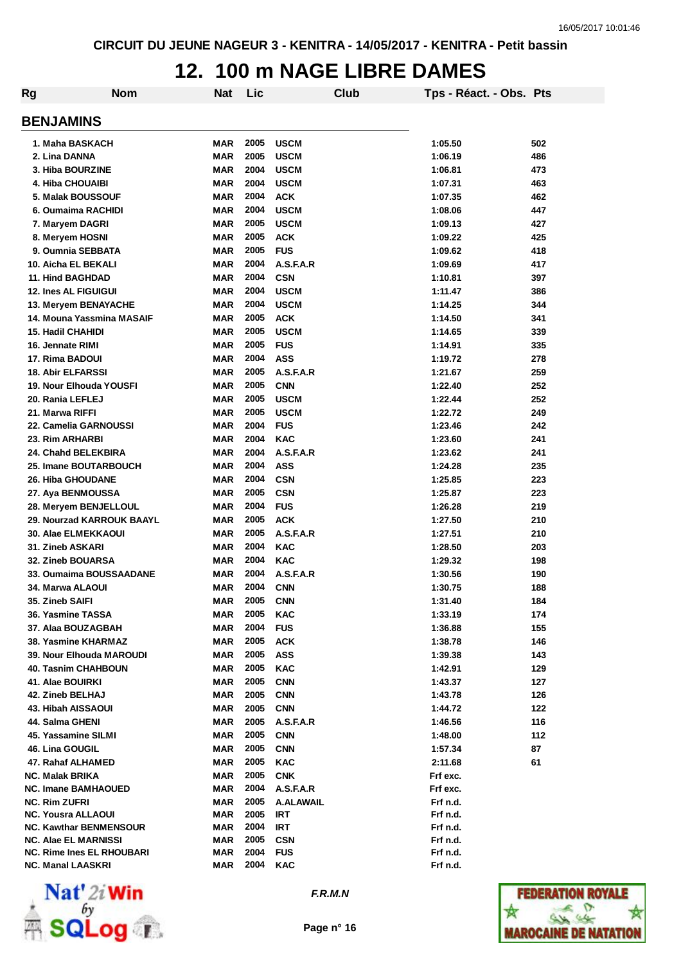### **12. 100 m NAGE LIBRE DAMES**

| Rg | <b>Nom</b>                       | <b>Nat</b> | Lic  |                  | Club | Tps - Réact. - Obs. Pts |     |
|----|----------------------------------|------------|------|------------------|------|-------------------------|-----|
|    | <b>BENJAMINS</b>                 |            |      |                  |      |                         |     |
|    | 1. Maha BASKACH                  | MAR        | 2005 | <b>USCM</b>      |      | 1:05.50                 | 502 |
|    | 2. Lina DANNA                    | MAR        | 2005 | <b>USCM</b>      |      | 1:06.19                 | 486 |
|    | 3. Hiba BOURZINE                 | <b>MAR</b> | 2004 | <b>USCM</b>      |      | 1:06.81                 | 473 |
|    | 4. Hiba CHOUAIBI                 | <b>MAR</b> | 2004 | <b>USCM</b>      |      | 1:07.31                 | 463 |
|    | <b>5. Malak BOUSSOUF</b>         | <b>MAR</b> | 2004 | <b>ACK</b>       |      | 1:07.35                 | 462 |
|    | 6. Oumaima RACHIDI               | <b>MAR</b> | 2004 | <b>USCM</b>      |      | 1:08.06                 | 447 |
|    | 7. Maryem DAGRI                  | <b>MAR</b> | 2005 | <b>USCM</b>      |      | 1:09.13                 | 427 |
|    | 8. Meryem HOSNI                  | <b>MAR</b> | 2005 | <b>ACK</b>       |      | 1:09.22                 | 425 |
|    | 9. Oumnia SEBBATA                | <b>MAR</b> | 2005 | <b>FUS</b>       |      | 1:09.62                 | 418 |
|    | 10. Aicha EL BEKALI              | <b>MAR</b> | 2004 | A.S.F.A.R        |      | 1:09.69                 | 417 |
|    | <b>11. Hind BAGHDAD</b>          | <b>MAR</b> | 2004 | <b>CSN</b>       |      | 1:10.81                 | 397 |
|    | <b>12. Ines AL FIGUIGUI</b>      | <b>MAR</b> | 2004 | <b>USCM</b>      |      | 1:11.47                 | 386 |
|    | 13. Meryem BENAYACHE             | <b>MAR</b> | 2004 | <b>USCM</b>      |      | 1:14.25                 | 344 |
|    | 14. Mouna Yassmina MASAIF        | <b>MAR</b> | 2005 | <b>ACK</b>       |      | 1:14.50                 | 341 |
|    | 15. Hadil CHAHIDI                | <b>MAR</b> | 2005 | <b>USCM</b>      |      | 1:14.65                 | 339 |
|    | 16. Jennate RIMI                 | <b>MAR</b> | 2005 | <b>FUS</b>       |      | 1:14.91                 | 335 |
|    | 17. Rima BADOUI                  | <b>MAR</b> | 2004 | ASS              |      | 1:19.72                 | 278 |
|    | <b>18. Abir ELFARSSI</b>         | <b>MAR</b> | 2005 | A.S.F.A.R        |      | 1:21.67                 | 259 |
|    | 19. Nour Elhouda YOUSFI          | <b>MAR</b> | 2005 | <b>CNN</b>       |      | 1:22.40                 | 252 |
|    | 20. Rania LEFLEJ                 | MAR        | 2005 | <b>USCM</b>      |      | 1:22.44                 | 252 |
|    | 21. Marwa RIFFI                  | MAR        | 2005 | <b>USCM</b>      |      | 1:22.72                 | 249 |
|    | 22. Camelia GARNOUSSI            | MAR        | 2004 | <b>FUS</b>       |      | 1:23.46                 | 242 |
|    | 23. Rim ARHARBI                  | MAR        | 2004 | <b>KAC</b>       |      | 1:23.60                 | 241 |
|    | 24. Chahd BELEKBIRA              | <b>MAR</b> | 2004 | A.S.F.A.R        |      | 1:23.62                 | 241 |
|    | 25. Imane BOUTARBOUCH            | MAR        | 2004 | <b>ASS</b>       |      | 1:24.28                 | 235 |
|    | <b>26. Hiba GHOUDANE</b>         | <b>MAR</b> | 2004 | <b>CSN</b>       |      | 1:25.85                 | 223 |
|    | 27. Aya BENMOUSSA                | MAR        | 2005 | <b>CSN</b>       |      | 1:25.87                 | 223 |
|    | <b>28. Meryem BENJELLOUL</b>     | <b>MAR</b> | 2004 | <b>FUS</b>       |      | 1:26.28                 | 219 |
|    | 29. Nourzad KARROUK BAAYL        | <b>MAR</b> | 2005 | <b>ACK</b>       |      | 1:27.50                 | 210 |
|    | 30. Alae ELMEKKAOUI              | <b>MAR</b> | 2005 | A.S.F.A.R        |      | 1:27.51                 | 210 |
|    | 31. Zineb ASKARI                 | <b>MAR</b> | 2004 | <b>KAC</b>       |      | 1:28.50                 | 203 |
|    | <b>32. Zineb BOUARSA</b>         | <b>MAR</b> | 2004 | <b>KAC</b>       |      | 1:29.32                 | 198 |
|    | 33. Oumaima BOUSSAADANE          | MAR        | 2004 | A.S.F.A.R        |      | 1:30.56                 | 190 |
|    | 34. Marwa ALAOUI                 | <b>MAR</b> | 2004 | <b>CNN</b>       |      | 1:30.75                 | 188 |
|    | 35. Zineb SAIFI                  | MAR        | 2005 | <b>CNN</b>       |      | 1:31.40                 | 184 |
|    | 36. Yasmine TASSA                | MAR        | 2005 | KAC              |      | 1:33.19                 | 174 |
|    | 37. Alaa BOUZAGBAH               | <b>MAR</b> | 2004 | <b>FUS</b>       |      | 1:36.88                 | 155 |
|    | 38. Yasmine KHARMAZ              | MAR        | 2005 | <b>ACK</b>       |      | 1:38.78                 | 146 |
|    | <b>39. Nour Elhouda MAROUDI</b>  | MAR        | 2005 | <b>ASS</b>       |      | 1:39.38                 | 143 |
|    | <b>40. Tasnim CHAHBOUN</b>       | MAR        | 2005 | <b>KAC</b>       |      | 1:42.91                 | 129 |
|    | 41. Alae BOUIRKI                 | MAR        | 2005 | <b>CNN</b>       |      | 1:43.37                 | 127 |
|    | 42. Zineb BELHAJ                 | <b>MAR</b> | 2005 | <b>CNN</b>       |      | 1:43.78                 | 126 |
|    | 43. Hibah AISSAOUI               | MAR        | 2005 | <b>CNN</b>       |      | 1:44.72                 | 122 |
|    | 44. Salma GHENI                  | MAR        | 2005 | A.S.F.A.R        |      | 1:46.56                 | 116 |
|    | 45. Yassamine SILMI              | MAR        | 2005 | <b>CNN</b>       |      | 1:48.00                 | 112 |
|    | 46. Lina GOUGIL                  | MAR        | 2005 | <b>CNN</b>       |      | 1:57.34                 | 87  |
|    | 47. Rahaf ALHAMED                | MAR        | 2005 | <b>KAC</b>       |      | 2:11.68                 | 61  |
|    | <b>NC. Malak BRIKA</b>           | MAR        | 2005 | <b>CNK</b>       |      | Frf exc.                |     |
|    | <b>NC. Imane BAMHAOUED</b>       | MAR        | 2004 | A.S.F.A.R        |      | Frf exc.                |     |
|    | <b>NC. Rim ZUFRI</b>             | MAR        | 2005 | <b>A.ALAWAIL</b> |      | Frf n.d.                |     |
|    | <b>NC. Yousra ALLAOUI</b>        | MAR        | 2005 | IRT              |      | Frf n.d.                |     |
|    | <b>NC. Kawthar BENMENSOUR</b>    | MAR        | 2004 | <b>IRT</b>       |      | Frf n.d.                |     |
|    | <b>NC. Alae EL MARNISSI</b>      | MAR        | 2005 | <b>CSN</b>       |      | Frf n.d.                |     |
|    | <b>NC. Rime Ines EL RHOUBARI</b> | MAR        | 2004 | <b>FUS</b>       |      | Frf n.d.                |     |
|    | <b>NC. Manal LAASKRI</b>         | MAR        | 2004 | <b>KAC</b>       |      | Frf n.d.                |     |



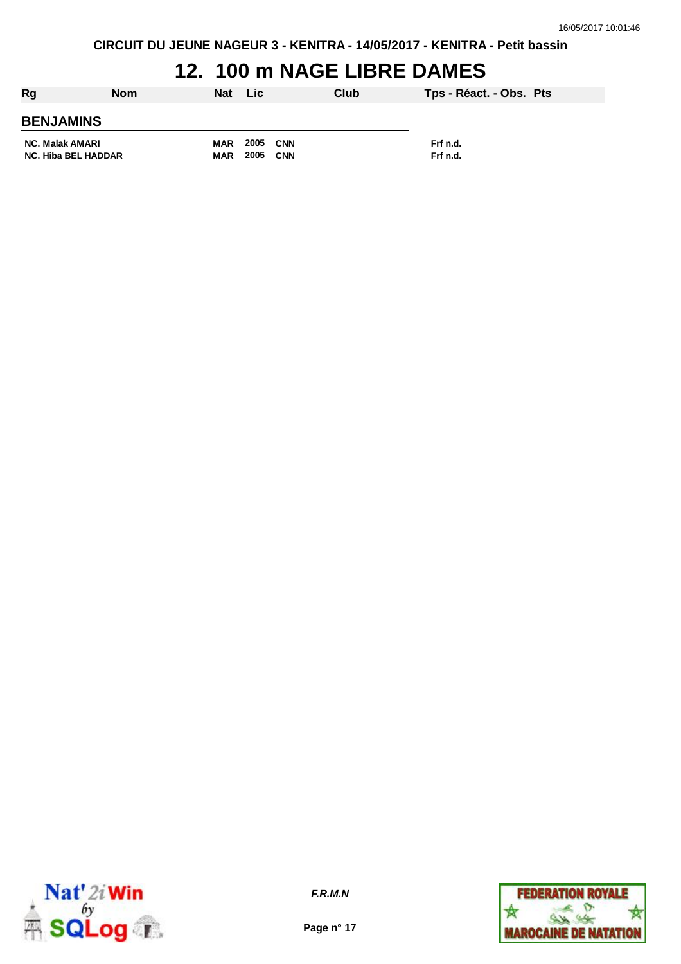# **12. 100 m NAGE LIBRE DAMES**

| Rg                         | <b>Nom</b> | Nat Lic    |          | Club       | Tps - Réact. - Obs. Pts |  |
|----------------------------|------------|------------|----------|------------|-------------------------|--|
| <b>BENJAMINS</b>           |            |            |          |            |                         |  |
| <b>NC. Malak AMARI</b>     |            | MAR        | 2005 CNN |            | Frf n.d.                |  |
| <b>NC. Hiba BEL HADDAR</b> |            | <b>MAR</b> | 2005     | <b>CNN</b> | Frf n.d.                |  |



**Page n° 17**

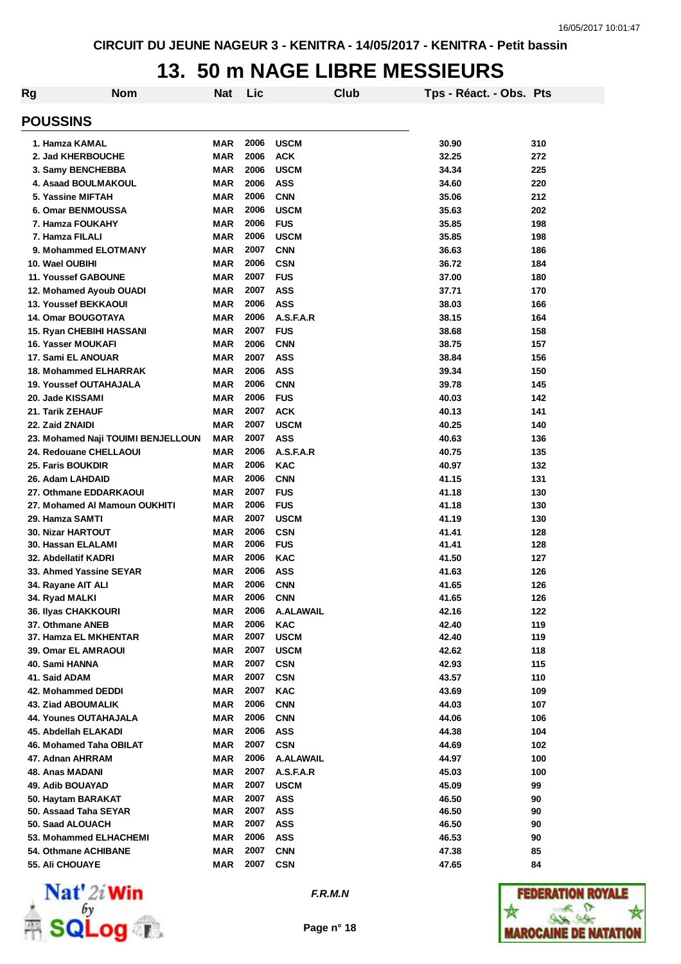## **13. 50 m NAGE LIBRE MESSIEURS**

| Rg                            | <b>Nom</b>                         | <b>Nat</b> | Lic  |                  | <b>Club</b> | Tps - Réact. - Obs. Pts |     |
|-------------------------------|------------------------------------|------------|------|------------------|-------------|-------------------------|-----|
| <b>POUSSINS</b>               |                                    |            |      |                  |             |                         |     |
| 1. Hamza KAMAL                |                                    | MAR        | 2006 | <b>USCM</b>      |             | 30.90                   | 310 |
| 2. Jad KHERBOUCHE             |                                    | <b>MAR</b> | 2006 | <b>ACK</b>       |             | 32.25                   | 272 |
| 3. Samy BENCHEBBA             |                                    | <b>MAR</b> | 2006 | <b>USCM</b>      |             | 34.34                   | 225 |
| 4. Asaad BOULMAKOUL           |                                    | <b>MAR</b> | 2006 | <b>ASS</b>       |             | 34.60                   | 220 |
| 5. Yassine MIFTAH             |                                    | <b>MAR</b> | 2006 | <b>CNN</b>       |             | 35.06                   | 212 |
| 6. Omar BENMOUSSA             |                                    | <b>MAR</b> | 2006 | <b>USCM</b>      |             | 35.63                   | 202 |
| 7. Hamza FOUKAHY              |                                    | <b>MAR</b> | 2006 | <b>FUS</b>       |             | 35.85                   | 198 |
| 7. Hamza FILALI               |                                    | <b>MAR</b> | 2006 | <b>USCM</b>      |             | 35.85                   | 198 |
| 9. Mohammed ELOTMANY          |                                    | MAR        | 2007 | <b>CNN</b>       |             | 36.63                   | 186 |
| 10. Wael OUBIHI               |                                    | <b>MAR</b> | 2006 | <b>CSN</b>       |             | 36.72                   | 184 |
| <b>11. Youssef GABOUNE</b>    |                                    | <b>MAR</b> | 2007 | <b>FUS</b>       |             | 37.00                   | 180 |
|                               |                                    | <b>MAR</b> | 2007 | <b>ASS</b>       |             | 37.71                   | 170 |
| 12. Mohamed Ayoub OUADI       |                                    |            | 2006 |                  |             |                         |     |
| <b>13. Youssef BEKKAOUI</b>   |                                    | <b>MAR</b> |      | <b>ASS</b>       |             | 38.03                   | 166 |
| 14. Omar BOUGOTAYA            |                                    | <b>MAR</b> | 2006 | A.S.F.A.R        |             | 38.15                   | 164 |
| 15. Ryan CHEBIHI HASSANI      |                                    | <b>MAR</b> | 2007 | <b>FUS</b>       |             | 38.68                   | 158 |
| 16. Yasser MOUKAFI            |                                    | MAR        | 2006 | <b>CNN</b>       |             | 38.75                   | 157 |
| 17. Sami EL ANOUAR            |                                    | MAR        | 2007 | <b>ASS</b>       |             | 38.84                   | 156 |
| <b>18. Mohammed ELHARRAK</b>  |                                    | MAR        | 2006 | <b>ASS</b>       |             | 39.34                   | 150 |
| <b>19. Youssef OUTAHAJALA</b> |                                    | <b>MAR</b> | 2006 | <b>CNN</b>       |             | 39.78                   | 145 |
| 20. Jade KISSAMI              |                                    | MAR        | 2006 | <b>FUS</b>       |             | 40.03                   | 142 |
| 21. Tarik ZEHAUF              |                                    | MAR        | 2007 | <b>ACK</b>       |             | 40.13                   | 141 |
| 22. Zaid ZNAIDI               |                                    | MAR        | 2007 | <b>USCM</b>      |             | 40.25                   | 140 |
|                               | 23. Mohamed Naji TOUIMI BENJELLOUN | <b>MAR</b> | 2007 | <b>ASS</b>       |             | 40.63                   | 136 |
| 24. Redouane CHELLAOUI        |                                    | <b>MAR</b> | 2006 | A.S.F.A.R        |             | 40.75                   | 135 |
| 25. Faris BOUKDIR             |                                    | <b>MAR</b> | 2006 | <b>KAC</b>       |             | 40.97                   | 132 |
| 26. Adam LAHDAID              |                                    | <b>MAR</b> | 2006 | <b>CNN</b>       |             | 41.15                   | 131 |
| 27. Othmane EDDARKAOUI        |                                    | <b>MAR</b> | 2007 | <b>FUS</b>       |             | 41.18                   | 130 |
|                               | 27. Mohamed AI Mamoun OUKHITI      | <b>MAR</b> | 2006 | <b>FUS</b>       |             | 41.18                   | 130 |
| 29. Hamza SAMTI               |                                    | <b>MAR</b> | 2007 | <b>USCM</b>      |             | 41.19                   | 130 |
| <b>30. Nizar HARTOUT</b>      |                                    | <b>MAR</b> | 2006 | <b>CSN</b>       |             | 41.41                   | 128 |
| 30. Hassan ELALAMI            |                                    | <b>MAR</b> | 2006 | <b>FUS</b>       |             | 41.41                   | 128 |
| 32. Abdellatif KADRI          |                                    | <b>MAR</b> | 2006 | <b>KAC</b>       |             | 41.50                   | 127 |
| 33. Ahmed Yassine SEYAR       |                                    | <b>MAR</b> | 2006 | <b>ASS</b>       |             | 41.63                   | 126 |
| 34. Rayane AIT ALI            |                                    | MAR        | 2006 | <b>CNN</b>       |             | 41.65                   | 126 |
| 34. Ryad MALKI                |                                    | <b>MAR</b> | 2006 | <b>CNN</b>       |             | 41.65                   | 126 |
| 36. Ilyas CHAKKOURI           |                                    | MAR        | 2006 | A.ALAWAIL        |             | 42.16                   | 122 |
| 37. Othmane ANEB              |                                    | MAR        | 2006 | <b>KAC</b>       |             | 42.40                   | 119 |
| 37. Hamza EL MKHENTAR         |                                    | MAR        | 2007 | <b>USCM</b>      |             | 42.40                   | 119 |
| 39. Omar EL AMRAOUI           |                                    | MAR        | 2007 | <b>USCM</b>      |             | 42.62                   | 118 |
| 40. Sami HANNA                |                                    | MAR        | 2007 | <b>CSN</b>       |             | 42.93                   | 115 |
| 41. Said ADAM                 |                                    | <b>MAR</b> | 2007 | <b>CSN</b>       |             | 43.57                   | 110 |
| 42. Mohammed DEDDI            |                                    | MAR        | 2007 | KAC              |             | 43.69                   | 109 |
| <b>43. Ziad ABOUMALIK</b>     |                                    | MAR        | 2006 | <b>CNN</b>       |             | 44.03                   | 107 |
| <b>44. Younes OUTAHAJALA</b>  |                                    | <b>MAR</b> | 2006 | <b>CNN</b>       |             | 44.06                   | 106 |
| 45. Abdellah ELAKADI          |                                    | <b>MAR</b> | 2006 | <b>ASS</b>       |             | 44.38                   | 104 |
| 46. Mohamed Taha OBILAT       |                                    | MAR        | 2007 | <b>CSN</b>       |             | 44.69                   | 102 |
| 47. Adnan AHRRAM              |                                    | <b>MAR</b> | 2006 | <b>A.ALAWAIL</b> |             | 44.97                   | 100 |
| 48. Anas MADANI               |                                    | MAR        | 2007 | A.S.F.A.R        |             | 45.03                   | 100 |
| 49. Adib BOUAYAD              |                                    | <b>MAR</b> | 2007 | <b>USCM</b>      |             | 45.09                   | 99  |
| 50. Haytam BARAKAT            |                                    | <b>MAR</b> | 2007 | <b>ASS</b>       |             | 46.50                   | 90  |
| 50. Assaad Taha SEYAR         |                                    | MAR        | 2007 | <b>ASS</b>       |             | 46.50                   | 90  |
| 50. Saad ALOUACH              |                                    | MAR        | 2007 | <b>ASS</b>       |             | 46.50                   | 90  |
| 53. Mohammed ELHACHEMI        |                                    | MAR        | 2006 | <b>ASS</b>       |             | 46.53                   | 90  |
|                               |                                    |            | 2007 | <b>CNN</b>       |             | 47.38                   |     |
| 54. Othmane ACHIBANE          |                                    | MAR        | 2007 |                  |             |                         | 85  |
| <b>55. Ali CHOUAYE</b>        |                                    | MAR        |      | <b>CSN</b>       |             | 47.65                   | 84  |



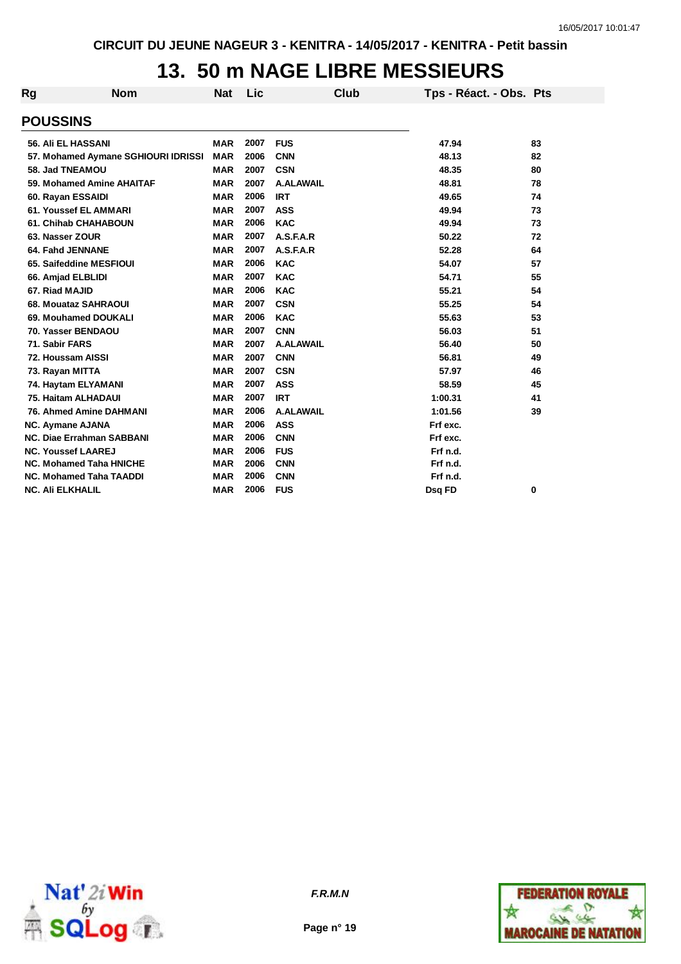# **13. 50 m NAGE LIBRE MESSIEURS**

| Rg | <b>Nom</b>                          | <b>Nat</b> | Lic  | Club             | Tps - Réact. - Obs. Pts |    |
|----|-------------------------------------|------------|------|------------------|-------------------------|----|
|    | <b>POUSSINS</b>                     |            |      |                  |                         |    |
|    | 56. Ali EL HASSANI                  | <b>MAR</b> | 2007 | <b>FUS</b>       | 47.94                   | 83 |
|    | 57. Mohamed Aymane SGHIOURI IDRISSI | <b>MAR</b> | 2006 | <b>CNN</b>       | 48.13                   | 82 |
|    | 58. Jad TNEAMOU                     | <b>MAR</b> | 2007 | <b>CSN</b>       | 48.35                   | 80 |
|    | 59. Mohamed Amine AHAITAF           | <b>MAR</b> | 2007 | <b>A.ALAWAIL</b> | 48.81                   | 78 |
|    | 60. Rayan ESSAIDI                   | <b>MAR</b> | 2006 | <b>IRT</b>       | 49.65                   | 74 |
|    | 61. Youssef EL AMMARI               | <b>MAR</b> | 2007 | <b>ASS</b>       | 49.94                   | 73 |
|    | <b>61. Chihab CHAHABOUN</b>         | <b>MAR</b> | 2006 | <b>KAC</b>       | 49.94                   | 73 |
|    | 63. Nasser ZOUR                     | <b>MAR</b> | 2007 | A.S.F.A.R        | 50.22                   | 72 |
|    | 64. Fahd JENNANE                    | <b>MAR</b> | 2007 | A.S.F.A.R        | 52.28                   | 64 |
|    | 65. Saifeddine MESFIOUI             | <b>MAR</b> | 2006 | <b>KAC</b>       | 54.07                   | 57 |
|    | 66. Amjad ELBLIDI                   | <b>MAR</b> | 2007 | <b>KAC</b>       | 54.71                   | 55 |
|    | 67. Riad MAJID                      | <b>MAR</b> | 2006 | <b>KAC</b>       | 55.21                   | 54 |
|    | 68. Mouataz SAHRAOUI                | <b>MAR</b> | 2007 | <b>CSN</b>       | 55.25                   | 54 |
|    | 69. Mouhamed DOUKALI                | <b>MAR</b> | 2006 | <b>KAC</b>       | 55.63                   | 53 |
|    | 70. Yasser BENDAOU                  | <b>MAR</b> | 2007 | <b>CNN</b>       | 56.03                   | 51 |
|    | 71. Sabir FARS                      | <b>MAR</b> | 2007 | <b>A.ALAWAIL</b> | 56.40                   | 50 |
|    | 72. Houssam AISSI                   | <b>MAR</b> | 2007 | <b>CNN</b>       | 56.81                   | 49 |
|    | 73. Rayan MITTA                     | <b>MAR</b> | 2007 | <b>CSN</b>       | 57.97                   | 46 |
|    | 74. Haytam ELYAMANI                 | <b>MAR</b> | 2007 | <b>ASS</b>       | 58.59                   | 45 |
|    | 75. Haitam ALHADAUI                 | <b>MAR</b> | 2007 | <b>IRT</b>       | 1:00.31                 | 41 |
|    | <b>76. Ahmed Amine DAHMANI</b>      | <b>MAR</b> | 2006 | <b>A.ALAWAIL</b> | 1:01.56                 | 39 |
|    | <b>NC. Aymane AJANA</b>             | <b>MAR</b> | 2006 | <b>ASS</b>       | Frf exc.                |    |
|    | <b>NC. Diae Errahman SABBANI</b>    | <b>MAR</b> | 2006 | <b>CNN</b>       | Frf exc.                |    |
|    | <b>NC. Youssef LAAREJ</b>           | <b>MAR</b> | 2006 | <b>FUS</b>       | Frf n.d.                |    |
|    | <b>NC. Mohamed Taha HNICHE</b>      | <b>MAR</b> | 2006 | <b>CNN</b>       | Frf n.d.                |    |
|    | <b>NC. Mohamed Taha TAADDI</b>      | <b>MAR</b> | 2006 | <b>CNN</b>       | Frf n.d.                |    |
|    | <b>NC. Ali ELKHALIL</b>             | <b>MAR</b> | 2006 | <b>FUS</b>       | Dsq FD                  | 0  |



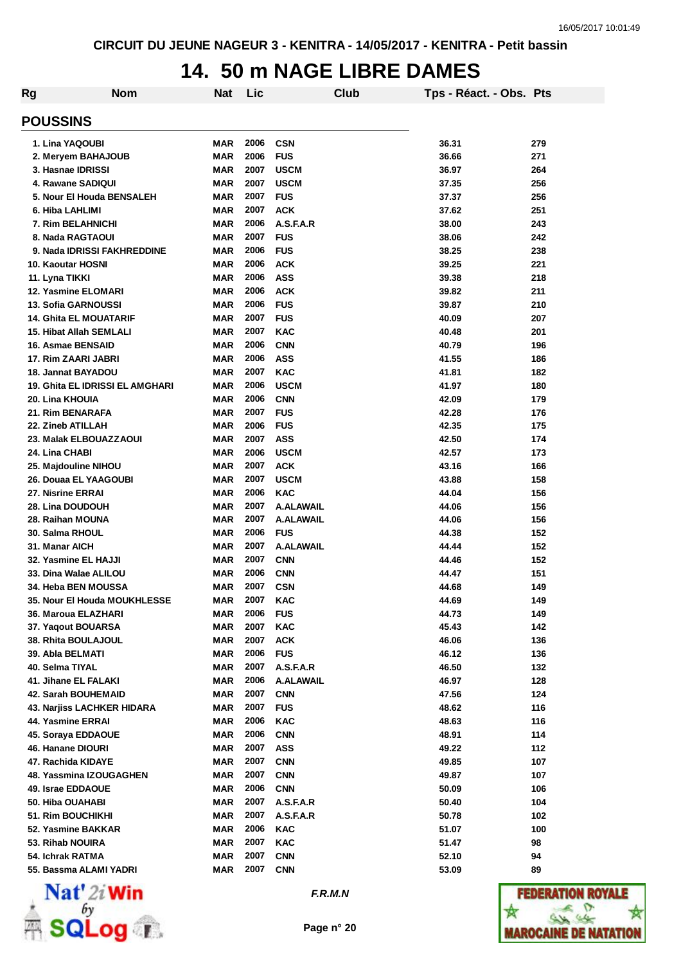### **14. 50 m NAGE LIBRE DAMES**

| Rg                              | <b>Nom</b> | Nat        | Lic  |                  | Club | Tps - Réact. - Obs. Pts |     |
|---------------------------------|------------|------------|------|------------------|------|-------------------------|-----|
| <b>POUSSINS</b>                 |            |            |      |                  |      |                         |     |
| 1. Lina YAQOUBI                 |            | MAR        | 2006 | <b>CSN</b>       |      | 36.31                   | 279 |
| 2. Meryem BAHAJOUB              |            | MAR        | 2006 | <b>FUS</b>       |      | 36.66                   | 271 |
| 3. Hasnae IDRISSI               |            | <b>MAR</b> | 2007 | <b>USCM</b>      |      | 36.97                   | 264 |
| 4. Rawane SADIQUI               |            | <b>MAR</b> | 2007 | <b>USCM</b>      |      | 37.35                   | 256 |
| 5. Nour El Houda BENSALEH       |            | <b>MAR</b> | 2007 | <b>FUS</b>       |      | 37.37                   | 256 |
| 6. Hiba LAHLIMI                 |            | <b>MAR</b> | 2007 | <b>ACK</b>       |      | 37.62                   | 251 |
| 7. Rim BELAHNICHI               |            | <b>MAR</b> | 2006 | A.S.F.A.R        |      | 38.00                   | 243 |
| 8. Nada RAGTAOUI                |            | <b>MAR</b> | 2007 | <b>FUS</b>       |      | 38.06                   | 242 |
| 9. Nada IDRISSI FAKHREDDINE     |            | <b>MAR</b> | 2006 | <b>FUS</b>       |      | 38.25                   | 238 |
| 10. Kaoutar HOSNI               |            | <b>MAR</b> | 2006 | <b>ACK</b>       |      | 39.25                   | 221 |
| 11. Lyna TIKKI                  |            | <b>MAR</b> | 2006 | ASS              |      | 39.38                   | 218 |
| 12. Yasmine ELOMARI             |            | <b>MAR</b> | 2006 | <b>ACK</b>       |      | 39.82                   | 211 |
| 13. Sofia GARNOUSSI             |            | <b>MAR</b> | 2006 | <b>FUS</b>       |      | 39.87                   | 210 |
| <b>14. Ghita EL MOUATARIF</b>   |            | <b>MAR</b> | 2007 | <b>FUS</b>       |      | 40.09                   | 207 |
| 15. Hibat Allah SEMLALI         |            | <b>MAR</b> | 2007 | <b>KAC</b>       |      | 40.48                   | 201 |
| 16. Asmae BENSAID               |            | MAR        | 2006 | <b>CNN</b>       |      | 40.79                   | 196 |
| 17. Rim ZAARI JABRI             |            | MAR        | 2006 | ASS              |      | 41.55                   | 186 |
| 18. Jannat BAYADOU              |            | <b>MAR</b> | 2007 | <b>KAC</b>       |      | 41.81                   | 182 |
| 19. Ghita EL IDRISSI EL AMGHARI |            | <b>MAR</b> | 2006 | <b>USCM</b>      |      | 41.97                   | 180 |
| 20. Lina KHOUIA                 |            | MAR        | 2006 | <b>CNN</b>       |      | 42.09                   | 179 |
| 21. Rim BENARAFA                |            | MAR        | 2007 | <b>FUS</b>       |      | 42.28                   | 176 |
| 22. Zineb ATILLAH               |            | MAR        | 2006 | <b>FUS</b>       |      | 42.35                   | 175 |
| 23. Malak ELBOUAZZAOUI          |            | <b>MAR</b> | 2007 | <b>ASS</b>       |      | 42.50                   | 174 |
| 24. Lina CHABI                  |            | <b>MAR</b> | 2006 | <b>USCM</b>      |      | 42.57                   | 173 |
| 25. Majdouline NIHOU            |            | MAR        | 2007 | <b>ACK</b>       |      | 43.16                   | 166 |
| 26. Douaa EL YAAGOUBI           |            | MAR        | 2007 | <b>USCM</b>      |      | 43.88                   | 158 |
| 27. Nisrine ERRAI               |            | MAR        | 2006 | <b>KAC</b>       |      | 44.04                   | 156 |
| 28. Lina DOUDOUH                |            | <b>MAR</b> | 2007 | <b>A.ALAWAIL</b> |      | 44.06                   | 156 |
| 28. Raihan MOUNA                |            | <b>MAR</b> | 2007 | <b>A.ALAWAIL</b> |      | 44.06                   | 156 |
| 30. Salma RHOUL                 |            | MAR        | 2006 | <b>FUS</b>       |      | 44.38                   | 152 |
| 31. Manar AICH                  |            | <b>MAR</b> | 2007 | <b>A.ALAWAIL</b> |      | 44.44                   | 152 |
| 32. Yasmine EL HAJJI            |            | <b>MAR</b> | 2007 | <b>CNN</b>       |      | 44.46                   | 152 |
| 33. Dina Walae ALILOU           |            | <b>MAR</b> | 2006 | <b>CNN</b>       |      | 44.47                   | 151 |
| 34. Heba BEN MOUSSA             |            | <b>MAR</b> | 2007 | <b>CSN</b>       |      | 44.68                   | 149 |
| 35. Nour El Houda MOUKHLESSE    |            | MAR        | 2007 | KAC              |      | 44.69                   | 149 |
| 36. Maroua ELAZHARI             |            | MAR        | 2006 | <b>FUS</b>       |      | 44.73                   | 149 |
| 37. Yaqout BOUARSA              |            | MAR        | 2007 | <b>KAC</b>       |      | 45.43                   | 142 |
| 38. Rhita BOULAJOUL             |            | <b>MAR</b> | 2007 | <b>ACK</b>       |      | 46.06                   | 136 |
| 39. Abla BELMATI                |            | <b>MAR</b> | 2006 | <b>FUS</b>       |      | 46.12                   | 136 |
| 40. Selma TIYAL                 |            | <b>MAR</b> | 2007 | A.S.F.A.R        |      | 46.50                   | 132 |
| 41. Jihane EL FALAKI            |            | <b>MAR</b> | 2006 | <b>A.ALAWAIL</b> |      | 46.97                   | 128 |
| 42. Sarah BOUHEMAID             |            | <b>MAR</b> | 2007 | <b>CNN</b>       |      | 47.56                   | 124 |
| 43. Narjiss LACHKER HIDARA      |            | MAR        | 2007 | <b>FUS</b>       |      | 48.62                   | 116 |
| 44. Yasmine ERRAI               |            | MAR        | 2006 | <b>KAC</b>       |      | 48.63                   | 116 |
| 45. Soraya EDDAOUE              |            | MAR        | 2006 | <b>CNN</b>       |      | 48.91                   | 114 |
| 46. Hanane DIOURI               |            | MAR        | 2007 | <b>ASS</b>       |      | 49.22                   | 112 |
| 47. Rachida KIDAYE              |            | MAR        | 2007 | <b>CNN</b>       |      | 49.85                   | 107 |
| 48. Yassmina IZOUGAGHEN         |            | MAR        | 2007 | <b>CNN</b>       |      | 49.87                   | 107 |
| 49. Israe EDDAOUE               |            | MAR        | 2006 | <b>CNN</b>       |      | 50.09                   | 106 |
| 50. Hiba OUAHABI                |            | MAR        | 2007 | A.S.F.A.R        |      | 50.40                   | 104 |
| 51. Rim BOUCHIKHI               |            | MAR        | 2007 | A.S.F.A.R        |      | 50.78                   | 102 |
| 52. Yasmine BAKKAR              |            | <b>MAR</b> | 2006 | KAC              |      | 51.07                   | 100 |
| 53. Rihab NOUIRA                |            | <b>MAR</b> | 2007 | <b>KAC</b>       |      | 51.47                   | 98  |
| 54. Ichrak RATMA                |            | MAR        | 2007 | <b>CNN</b>       |      | 52.10                   | 94  |
| 55. Bassma ALAMI YADRI          |            | MAR        | 2007 | <b>CNN</b>       |      | 53.09                   | 89  |
|                                 |            |            |      |                  |      |                         |     |



*F.R.M.N*

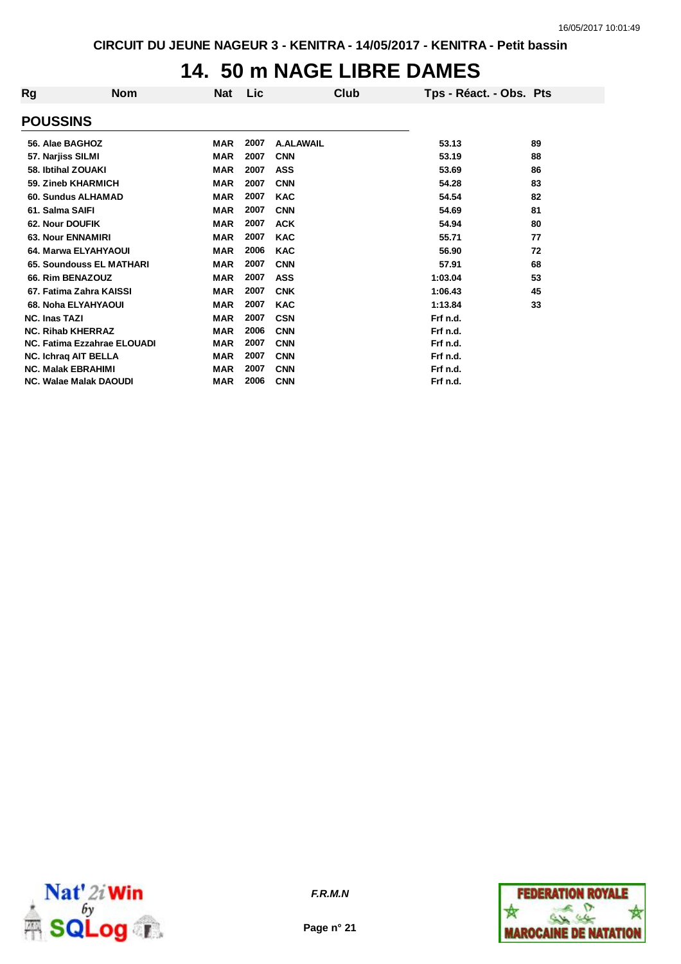## **14. 50 m NAGE LIBRE DAMES**

| Rg                   | <b>Nom</b>                    | <b>Nat</b> | Lic  | Club             | Tps - Réact. - Obs. Pts |    |
|----------------------|-------------------------------|------------|------|------------------|-------------------------|----|
| <b>POUSSINS</b>      |                               |            |      |                  |                         |    |
| 56. Alae BAGHOZ      |                               | <b>MAR</b> | 2007 | <b>A.ALAWAIL</b> | 53.13                   | 89 |
| 57. Narjiss SILMI    |                               | <b>MAR</b> | 2007 | <b>CNN</b>       | 53.19                   | 88 |
| 58. Ibtihal ZOUAKI   |                               | <b>MAR</b> | 2007 | <b>ASS</b>       | 53.69                   | 86 |
|                      | 59. Zineb KHARMICH            | <b>MAR</b> | 2007 | <b>CNN</b>       | 54.28                   | 83 |
|                      | 60. Sundus ALHAMAD            | <b>MAR</b> | 2007 | <b>KAC</b>       | 54.54                   | 82 |
| 61. Salma SAIFI      |                               | <b>MAR</b> | 2007 | <b>CNN</b>       | 54.69                   | 81 |
| 62. Nour DOUFIK      |                               | <b>MAR</b> | 2007 | <b>ACK</b>       | 54.94                   | 80 |
|                      | <b>63. Nour ENNAMIRI</b>      | <b>MAR</b> | 2007 | <b>KAC</b>       | 55.71                   | 77 |
|                      | 64. Marwa ELYAHYAOUI          | <b>MAR</b> | 2006 | <b>KAC</b>       | 56.90                   | 72 |
|                      | 65. Soundouss EL MATHARI      | <b>MAR</b> | 2007 | <b>CNN</b>       | 57.91                   | 68 |
|                      | 66. Rim BENAZOUZ              | <b>MAR</b> | 2007 | <b>ASS</b>       | 1:03.04                 | 53 |
|                      | 67. Fatima Zahra KAISSI       | <b>MAR</b> | 2007 | <b>CNK</b>       | 1:06.43                 | 45 |
|                      | 68. Noha ELYAHYAOUI           | <b>MAR</b> | 2007 | <b>KAC</b>       | 1:13.84                 | 33 |
| <b>NC. Inas TAZI</b> |                               | <b>MAR</b> | 2007 | <b>CSN</b>       | Frf n.d.                |    |
|                      | <b>NC. Rihab KHERRAZ</b>      | <b>MAR</b> | 2006 | <b>CNN</b>       | Frf n.d.                |    |
|                      | NC. Fatima Ezzahrae ELOUADI   | <b>MAR</b> | 2007 | <b>CNN</b>       | Frf n.d.                |    |
|                      | <b>NC. Ichraq AIT BELLA</b>   | <b>MAR</b> | 2007 | <b>CNN</b>       | Frf n.d.                |    |
|                      | <b>NC. Malak EBRAHIMI</b>     | <b>MAR</b> | 2007 | <b>CNN</b>       | Frf n.d.                |    |
|                      | <b>NC. Walae Malak DAOUDI</b> | <b>MAR</b> | 2006 | <b>CNN</b>       | Frf n.d.                |    |



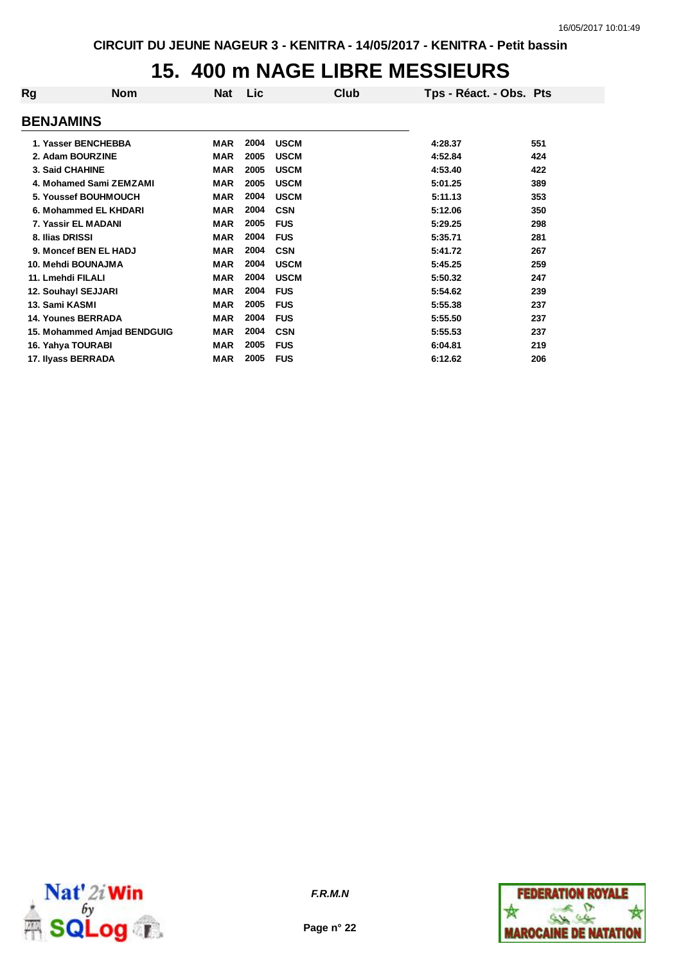## **15. 400 m NAGE LIBRE MESSIEURS**

| Rg                 | <b>Nom</b>                  | <b>Nat</b> | Lic  | Club        | Tps - Réact. - Obs. Pts |     |
|--------------------|-----------------------------|------------|------|-------------|-------------------------|-----|
| <b>BENJAMINS</b>   |                             |            |      |             |                         |     |
|                    | 1. Yasser BENCHEBBA         | <b>MAR</b> | 2004 | <b>USCM</b> | 4:28.37                 | 551 |
|                    | 2. Adam BOURZINE            | <b>MAR</b> | 2005 | <b>USCM</b> | 4:52.84                 | 424 |
| 3. Said CHAHINE    |                             | <b>MAR</b> | 2005 | <b>USCM</b> | 4:53.40                 | 422 |
|                    | 4. Mohamed Sami ZEMZAMI     | <b>MAR</b> | 2005 | <b>USCM</b> | 5:01.25                 | 389 |
|                    | 5. Youssef BOUHMOUCH        | <b>MAR</b> | 2004 | <b>USCM</b> | 5:11.13                 | 353 |
|                    | 6. Mohammed EL KHDARI       | <b>MAR</b> | 2004 | <b>CSN</b>  | 5:12.06                 | 350 |
|                    | 7. Yassir EL MADANI         | <b>MAR</b> | 2005 | <b>FUS</b>  | 5:29.25                 | 298 |
| 8. Ilias DRISSI    |                             | <b>MAR</b> | 2004 | <b>FUS</b>  | 5:35.71                 | 281 |
|                    | 9. Moncef BEN EL HADJ       | <b>MAR</b> | 2004 | <b>CSN</b>  | 5:41.72                 | 267 |
|                    | 10. Mehdi BOUNAJMA          | <b>MAR</b> | 2004 | <b>USCM</b> | 5:45.25                 | 259 |
| 11. Lmehdi FILALI  |                             | <b>MAR</b> | 2004 | <b>USCM</b> | 5:50.32                 | 247 |
|                    | 12. Souhayl SEJJARI         | <b>MAR</b> | 2004 | <b>FUS</b>  | 5:54.62                 | 239 |
| 13. Sami KASMI     |                             | <b>MAR</b> | 2005 | <b>FUS</b>  | 5:55.38                 | 237 |
|                    | <b>14. Younes BERRADA</b>   | <b>MAR</b> | 2004 | <b>FUS</b>  | 5:55.50                 | 237 |
|                    | 15. Mohammed Amjad BENDGUIG | <b>MAR</b> | 2004 | <b>CSN</b>  | 5:55.53                 | 237 |
| 16. Yahya TOURABI  |                             | <b>MAR</b> | 2005 | <b>FUS</b>  | 6:04.81                 | 219 |
| 17. Ilyass BERRADA |                             | <b>MAR</b> | 2005 | <b>FUS</b>  | 6:12.62                 | 206 |